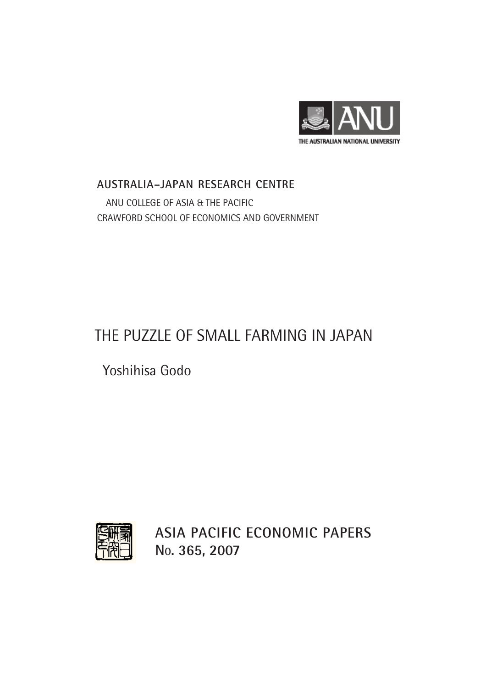

## **AUSTRALIA–JAPAN RESEARCH CENTRE** ANU COLLEGE OF ASIA & THE PACIFIC CRAWFORD SCHOOL OF ECONOMICS AND GOVERNMENT

# THE PUZZLE OF SMALL FARMING IN JAPAN

Yoshihisa Godo



**ASIA PACIFIC ECONOMIC PAPERS NO. 365, 2007**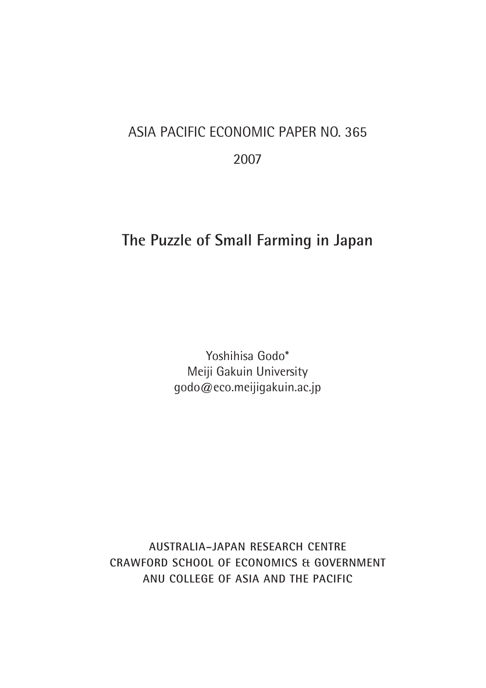# ASIA PACIFIC ECONOMIC PAPER NO. 365 2007

# **The Puzzle of Small Farming in Japan**

Yoshihisa Godo\* Meiji Gakuin University godo@eco.meijigakuin.ac.jp

**AUSTRALIA–JAPAN RESEARCH CENTRE CRAWFORD SCHOOL OF ECONOMICS & GOVERNMENT ANU COLLEGE OF ASIA AND THE PACIFIC**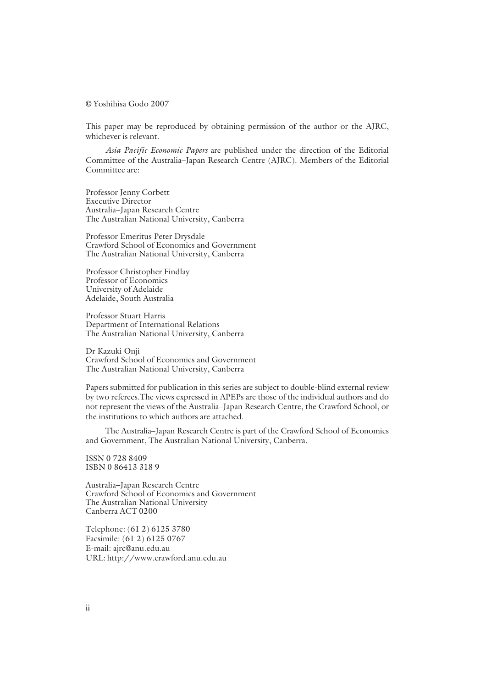**©** Yoshihisa Godo 2007

This paper may be reproduced by obtaining permission of the author or the AJRC, whichever is relevant.

*Asia Pacific Economic Papers* are published under the direction of the Editorial Committee of the Australia–Japan Research Centre (AJRC). Members of the Editorial Committee are:

Professor Jenny Corbett Executive Director Australia–Japan Research Centre The Australian National University, Canberra

Professor Emeritus Peter Drysdale Crawford School of Economics and Government The Australian National University, Canberra

Professor Christopher Findlay Professor of Economics University of Adelaide Adelaide, South Australia

Professor Stuart Harris Department of International Relations The Australian National University, Canberra

Dr Kazuki Onji Crawford School of Economics and Government The Australian National University, Canberra

Papers submitted for publication in this series are subject to double-blind external review by two referees.The views expressed in APEPs are those of the individual authors and do not represent the views of the Australia–Japan Research Centre, the Crawford School, or the institutions to which authors are attached.

The Australia–Japan Research Centre is part of the Crawford School of Economics and Government, The Australian National University, Canberra.

ISSN 0 728 8409 ISBN 0 86413 318 9

Australia–Japan Research Centre Crawford School of Economics and Government The Australian National University Canberra ACT 0200

Telephone: (61 2) 6125 3780 Facsimile: (61 2) 6125 0767 E-mail: ajrc@anu.edu.au URL: http://www.crawford.anu.edu.au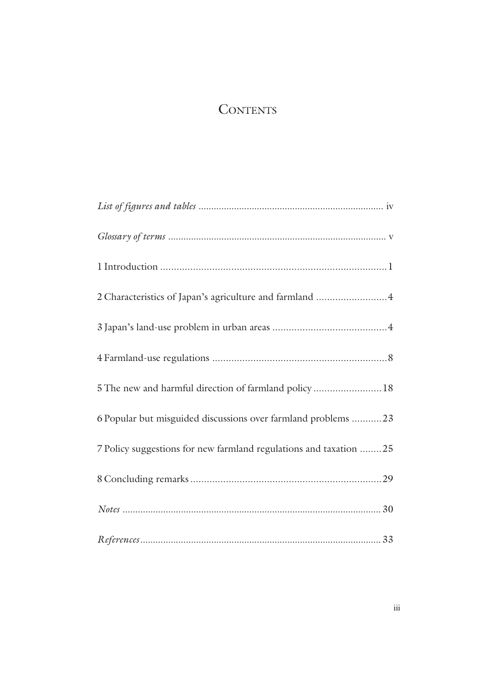## **CONTENTS**

| 2 Characteristics of Japan's agriculture and farmland  4           |
|--------------------------------------------------------------------|
|                                                                    |
|                                                                    |
| 5 The new and harmful direction of farmland policy 18              |
| 6 Popular but misguided discussions over farmland problems 23      |
| 7 Policy suggestions for new farmland regulations and taxation  25 |
|                                                                    |
|                                                                    |
|                                                                    |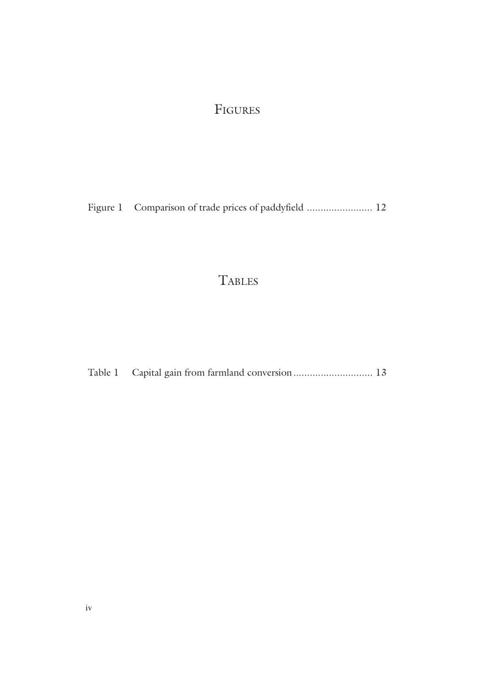# FIGURES

Figure 1 Comparison of trade prices of paddyfield ........................... 12

# **TABLES**

Table 1 Capital gain from farmland conversion................................. 13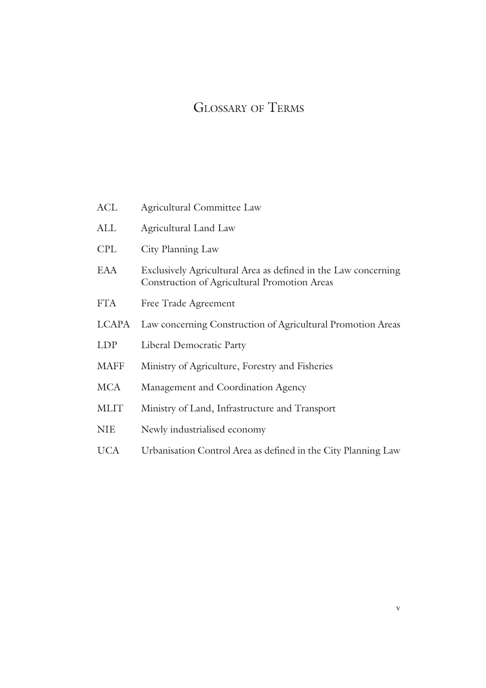# GLOSSARY OF TERMS

| <b>ACL</b>   | Agricultural Committee Law                                                                                     |  |  |  |  |
|--------------|----------------------------------------------------------------------------------------------------------------|--|--|--|--|
| ALL          | <b>Agricultural Land Law</b>                                                                                   |  |  |  |  |
| <b>CPL</b>   | City Planning Law                                                                                              |  |  |  |  |
| EAA          | Exclusively Agricultural Area as defined in the Law concerning<br>Construction of Agricultural Promotion Areas |  |  |  |  |
| <b>FTA</b>   | Free Trade Agreement                                                                                           |  |  |  |  |
| <b>LCAPA</b> | Law concerning Construction of Agricultural Promotion Areas                                                    |  |  |  |  |
| <b>LDP</b>   | Liberal Democratic Party                                                                                       |  |  |  |  |
| <b>MAFF</b>  | Ministry of Agriculture, Forestry and Fisheries                                                                |  |  |  |  |
| <b>MCA</b>   | Management and Coordination Agency                                                                             |  |  |  |  |
| <b>MLIT</b>  | Ministry of Land, Infrastructure and Transport                                                                 |  |  |  |  |
| <b>NIE</b>   | Newly industrialised economy                                                                                   |  |  |  |  |
| <b>UCA</b>   | Urbanisation Control Area as defined in the City Planning Law                                                  |  |  |  |  |
|              |                                                                                                                |  |  |  |  |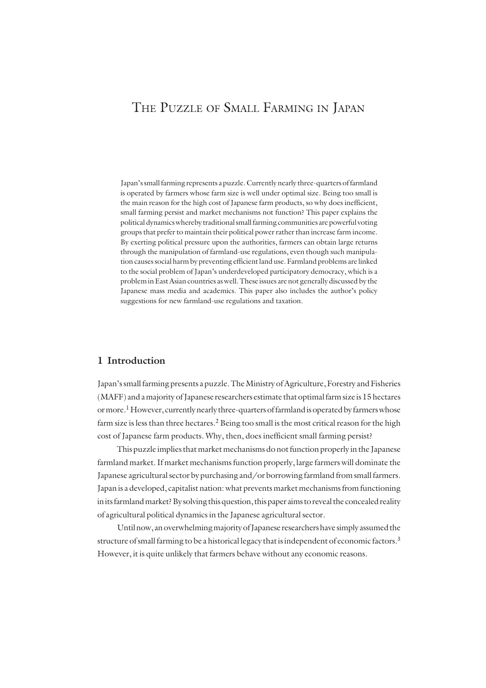## THE PUZZLE OF SMALL FARMING IN JAPAN

Japan's small farming represents a puzzle. Currently nearly three-quarters of farmland is operated by farmers whose farm size is well under optimal size. Being too small is the main reason for the high cost of Japanese farm products, so why does inefficient, small farming persist and market mechanisms not function? This paper explains the political dynamics whereby traditional small farming communities are powerful voting groups that prefer to maintain their political power rather than increase farm income. By exerting political pressure upon the authorities, farmers can obtain large returns through the manipulation of farmland-use regulations, even though such manipulation causes social harm by preventing efficient land use. Farmland problems are linked to the social problem of Japan's underdeveloped participatory democracy, which is a problem in East Asian countries as well. These issues are not generally discussed by the Japanese mass media and academics. This paper also includes the author's policy suggestions for new farmland-use regulations and taxation.

## **1 Introduction**

Japan's small farming presents a puzzle. The Ministry of Agriculture, Forestry and Fisheries (MAFF) and a majority of Japanese researchers estimate that optimal farm size is 15 hectares or more.<sup>1</sup> However, currently nearly three-quarters of farmland is operated by farmers whose farm size is less than three hectares.<sup>2</sup> Being too small is the most critical reason for the high cost of Japanese farm products. Why, then, does inefficient small farming persist?

This puzzle implies that market mechanisms do not function properly in the Japanese farmland market. If market mechanisms function properly, large farmers will dominate the Japanese agricultural sector by purchasing and/or borrowing farmland from small farmers. Japan is a developed, capitalist nation: what prevents market mechanisms from functioning in its farmland market? By solving this question, this paper aims to reveal the concealed reality of agricultural political dynamics in the Japanese agricultural sector.

Until now, an overwhelming majority of Japanese researchers have simply assumed the structure of small farming to be a historical legacy that is independent of economic factors.<sup>3</sup> However, it is quite unlikely that farmers behave without any economic reasons.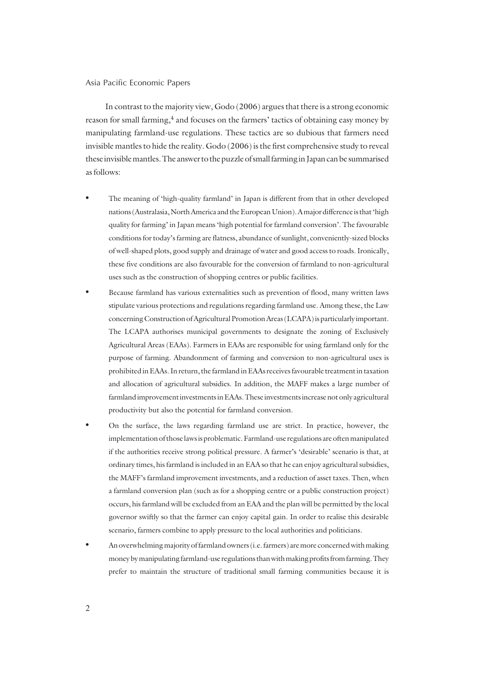In contrast to the majority view, Godo (2006) argues that there is a strong economic reason for small farming,<sup>4</sup> and focuses on the farmers' tactics of obtaining easy money by manipulating farmland-use regulations. These tactics are so dubious that farmers need invisible mantles to hide the reality. Godo (2006) is the first comprehensive study to reveal these invisible mantles. The answer to the puzzle of small farming in Japan can be summarised as follows:

- The meaning of 'high-quality farmland' in Japan is different from that in other developed nations (Australasia, North America and the European Union). A major difference is that 'high quality for farming' in Japan means 'high potential for farmland conversion'. The favourable conditions for today's farming are flatness, abundance of sunlight, conveniently-sized blocks of well-shaped plots, good supply and drainage of water and good access to roads. Ironically, these five conditions are also favourable for the conversion of farmland to non-agricultural uses such as the construction of shopping centres or public facilities.
- Because farmland has various externalities such as prevention of flood, many written laws stipulate various protections and regulations regarding farmland use. Among these, the Law concerning Construction of Agricultural Promotion Areas (LCAPA) is particularly important. The LCAPA authorises municipal governments to designate the zoning of Exclusively Agricultural Areas (EAAs). Farmers in EAAs are responsible for using farmland only for the purpose of farming. Abandonment of farming and conversion to non-agricultural uses is prohibited in EAAs. In return, the farmland in EAAs receives favourable treatment in taxation and allocation of agricultural subsidies. In addition, the MAFF makes a large number of farmland improvement investments in EAAs. These investments increase not only agricultural productivity but also the potential for farmland conversion.
- On the surface, the laws regarding farmland use are strict. In practice, however, the implementation of those laws is problematic. Farmland-use regulations are often manipulated if the authorities receive strong political pressure. A farmer's 'desirable' scenario is that, at ordinary times, his farmland is included in an EAA so that he can enjoy agricultural subsidies, the MAFF's farmland improvement investments, and a reduction of asset taxes. Then, when a farmland conversion plan (such as for a shopping centre or a public construction project) occurs, his farmland will be excluded from an EAA and the plan will be permitted by the local governor swiftly so that the farmer can enjoy capital gain. In order to realise this desirable scenario, farmers combine to apply pressure to the local authorities and politicians.
- An overwhelming majority of farmland owners (i.e. farmers) are more concerned with making money by manipulating farmland-use regulations than with making profits from farming. They prefer to maintain the structure of traditional small farming communities because it is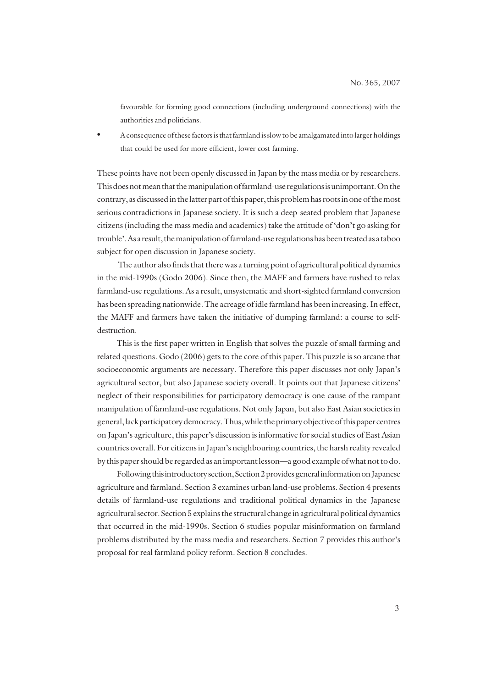favourable for forming good connections (including underground connections) with the authorities and politicians.

• A consequence of these factors is that farmland is slow to be amalgamated into larger holdings that could be used for more efficient, lower cost farming.

These points have not been openly discussed in Japan by the mass media or by researchers. This does not mean that the manipulation of farmland-use regulations is unimportant. On the contrary, as discussed in the latter part of this paper, this problem has roots in one of the most serious contradictions in Japanese society. It is such a deep-seated problem that Japanese citizens (including the mass media and academics) take the attitude of 'don't go asking for trouble'. As a result, the manipulation of farmland-use regulations has been treated as a taboo subject for open discussion in Japanese society.

 The author also finds that there was a turning point of agricultural political dynamics in the mid-1990s (Godo 2006). Since then, the MAFF and farmers have rushed to relax farmland-use regulations. As a result, unsystematic and short-sighted farmland conversion has been spreading nationwide. The acreage of idle farmland has been increasing. In effect, the MAFF and farmers have taken the initiative of dumping farmland: a course to selfdestruction.

This is the first paper written in English that solves the puzzle of small farming and related questions. Godo (2006) gets to the core of this paper. This puzzle is so arcane that socioeconomic arguments are necessary. Therefore this paper discusses not only Japan's agricultural sector, but also Japanese society overall. It points out that Japanese citizens' neglect of their responsibilities for participatory democracy is one cause of the rampant manipulation of farmland-use regulations. Not only Japan, but also East Asian societies in general, lack participatory democracy. Thus, while the primary objective of this paper centres on Japan's agriculture, this paper's discussion is informative for social studies of East Asian countries overall. For citizens in Japan's neighbouring countries, the harsh reality revealed by this paper should be regarded as an important lesson—a good example of what not to do.

Following this introductory section, Section 2 provides general information on Japanese agriculture and farmland. Section 3 examines urban land-use problems. Section 4 presents details of farmland-use regulations and traditional political dynamics in the Japanese agricultural sector. Section 5 explains the structural change in agricultural political dynamics that occurred in the mid-1990s. Section 6 studies popular misinformation on farmland problems distributed by the mass media and researchers. Section 7 provides this author's proposal for real farmland policy reform. Section 8 concludes.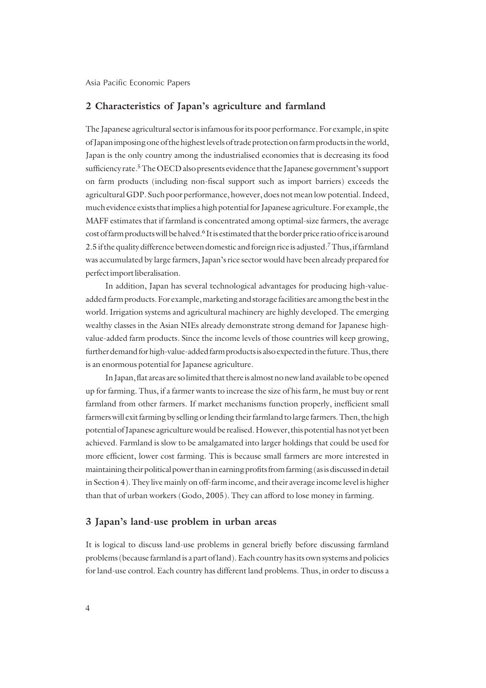### **2 Characteristics of Japan's agriculture and farmland**

The Japanese agricultural sector is infamous for its poor performance. For example, in spite of Japan imposing one of the highest levels of trade protection on farm products in the world, Japan is the only country among the industrialised economies that is decreasing its food sufficiency rate.<sup>5</sup> The OECD also presents evidence that the Japanese government's support on farm products (including non-fiscal support such as import barriers) exceeds the agricultural GDP. Such poor performance, however, does not mean low potential. Indeed, much evidence exists that implies a high potential for Japanese agriculture. For example, the MAFF estimates that if farmland is concentrated among optimal-size farmers, the average cost of farm products will be halved.<sup>6</sup> It is estimated that the border price ratio of rice is around 2.5 if the quality difference between domestic and foreign rice is adjusted.7 Thus, if farmland was accumulated by large farmers, Japan's rice sector would have been already prepared for perfect import liberalisation.

In addition, Japan has several technological advantages for producing high-valueadded farm products. For example, marketing and storage facilities are among the best in the world. Irrigation systems and agricultural machinery are highly developed. The emerging wealthy classes in the Asian NIEs already demonstrate strong demand for Japanese highvalue-added farm products. Since the income levels of those countries will keep growing, further demand for high-value-added farm products is also expected in the future. Thus, there is an enormous potential for Japanese agriculture.

In Japan, flat areas are so limited that there is almost no new land available to be opened up for farming. Thus, if a farmer wants to increase the size of his farm, he must buy or rent farmland from other farmers. If market mechanisms function properly, inefficient small farmers will exit farming by selling or lending their farmland to large farmers. Then, the high potential of Japanese agriculture would be realised. However, this potential has not yet been achieved. Farmland is slow to be amalgamated into larger holdings that could be used for more efficient, lower cost farming. This is because small farmers are more interested in maintaining their political power than in earning profits from farming (as is discussed in detail in Section 4). They live mainly on off-farm income, and their average income level is higher than that of urban workers (Godo, 2005). They can afford to lose money in farming.

### **3 Japan's land-use problem in urban areas**

It is logical to discuss land-use problems in general briefly before discussing farmland problems (because farmland is a part of land). Each country has its own systems and policies for land-use control. Each country has different land problems. Thus, in order to discuss a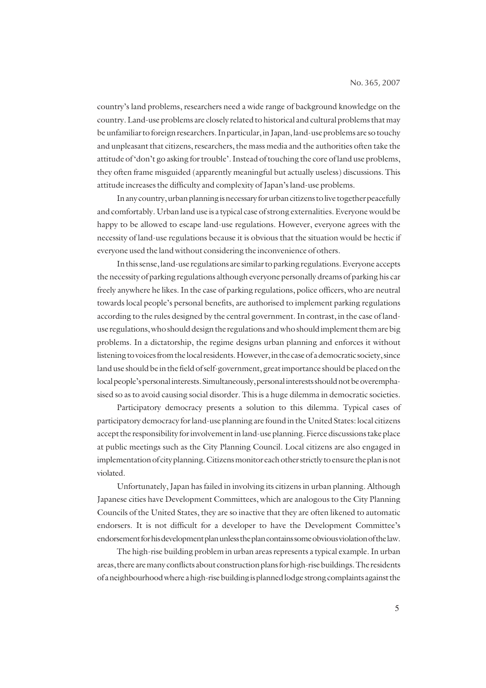country's land problems, researchers need a wide range of background knowledge on the country. Land-use problems are closely related to historical and cultural problems that may be unfamiliar to foreign researchers. In particular, in Japan, land-use problems are so touchy and unpleasant that citizens, researchers, the mass media and the authorities often take the attitude of 'don't go asking for trouble'. Instead of touching the core of land use problems, they often frame misguided (apparently meaningful but actually useless) discussions. This attitude increases the difficulty and complexity of Japan's land-use problems.

In any country, urban planning is necessary for urban citizens to live together peacefully and comfortably. Urban land use is a typical case of strong externalities. Everyone would be happy to be allowed to escape land-use regulations. However, everyone agrees with the necessity of land-use regulations because it is obvious that the situation would be hectic if everyone used the land without considering the inconvenience of others.

In this sense, land-use regulations are similar to parking regulations. Everyone accepts the necessity of parking regulations although everyone personally dreams of parking his car freely anywhere he likes. In the case of parking regulations, police officers, who are neutral towards local people's personal benefits, are authorised to implement parking regulations according to the rules designed by the central government. In contrast, in the case of landuse regulations, who should design the regulations and who should implement them are big problems. In a dictatorship, the regime designs urban planning and enforces it without listening to voices from the local residents. However, in the case of a democratic society, since land use should be in the field of self-government, great importance should be placed on the local people's personal interests. Simultaneously, personal interests should not be overemphasised so as to avoid causing social disorder. This is a huge dilemma in democratic societies.

Participatory democracy presents a solution to this dilemma. Typical cases of participatory democracy for land-use planning are found in the United States: local citizens accept the responsibility for involvement in land-use planning. Fierce discussions take place at public meetings such as the City Planning Council. Local citizens are also engaged in implementation of city planning. Citizens monitor each other strictly to ensure the plan is not violated.

Unfortunately, Japan has failed in involving its citizens in urban planning. Although Japanese cities have Development Committees, which are analogous to the City Planning Councils of the United States, they are so inactive that they are often likened to automatic endorsers. It is not difficult for a developer to have the Development Committee's endorsement for his development plan unless the plan contains some obvious violation of the law.

The high-rise building problem in urban areas represents a typical example. In urban areas, there are many conflicts about construction plans for high-rise buildings. The residents of a neighbourhood where a high-rise building is planned lodge strong complaints against the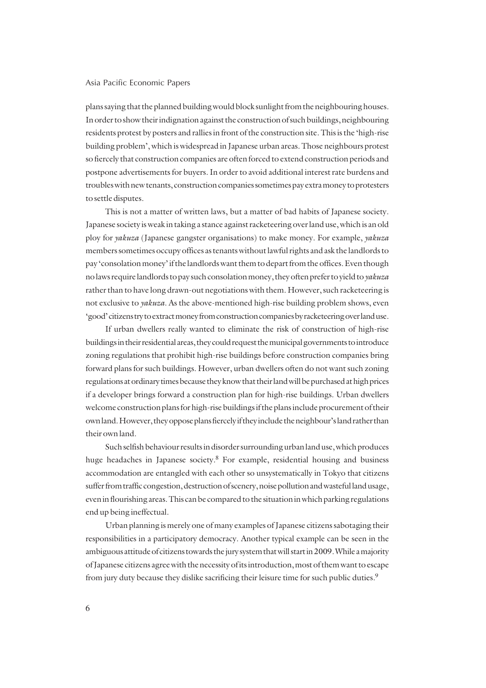plans saying that the planned building would block sunlight from the neighbouring houses. In order to show their indignation against the construction of such buildings, neighbouring residents protest by posters and rallies in front of the construction site. This is the 'high-rise building problem', which is widespread in Japanese urban areas. Those neighbours protest so fiercely that construction companies are often forced to extend construction periods and postpone advertisements for buyers. In order to avoid additional interest rate burdens and troubles with new tenants, construction companies sometimes pay extra money to protesters to settle disputes.

This is not a matter of written laws, but a matter of bad habits of Japanese society. Japanese society is weak in taking a stance against racketeering over land use, which is an old ploy for *yakuza* (Japanese gangster organisations) to make money. For example, *yakuza* members sometimes occupy offices as tenants without lawful rights and ask the landlords to pay 'consolation money' if the landlords want them to depart from the offices. Even though no laws require landlords to pay such consolation money, they often prefer to yield to *yakuza* rather than to have long drawn-out negotiations with them. However, such racketeering is not exclusive to *yakuza*. As the above-mentioned high-rise building problem shows, even 'good' citizens try to extract money from construction companies by racketeering over land use.

If urban dwellers really wanted to eliminate the risk of construction of high-rise buildings in their residential areas, they could request the municipal governments to introduce zoning regulations that prohibit high-rise buildings before construction companies bring forward plans for such buildings. However, urban dwellers often do not want such zoning regulations at ordinary times because they know that their land will be purchased at high prices if a developer brings forward a construction plan for high-rise buildings. Urban dwellers welcome construction plans for high-rise buildings if the plans include procurement of their own land. However, they oppose plans fiercely if they include the neighbour's land rather than their own land.

Such selfish behaviour results in disorder surrounding urban land use, which produces huge headaches in Japanese society.8 For example, residential housing and business accommodation are entangled with each other so unsystematically in Tokyo that citizens suffer from traffic congestion, destruction of scenery, noise pollution and wasteful land usage, even in flourishing areas. This can be compared to the situation in which parking regulations end up being ineffectual.

Urban planning is merely one of many examples of Japanese citizens sabotaging their responsibilities in a participatory democracy. Another typical example can be seen in the ambiguous attitude of citizens towards the jury system that will start in 2009. While a majority of Japanese citizens agree with the necessity of its introduction, most of them want to escape from jury duty because they dislike sacrificing their leisure time for such public duties.9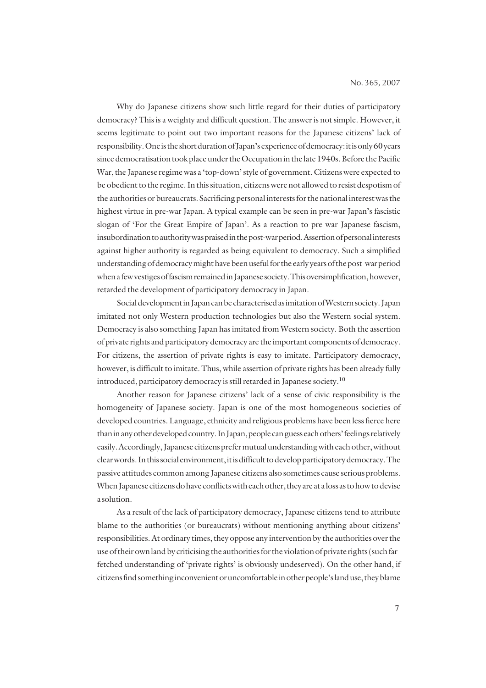Why do Japanese citizens show such little regard for their duties of participatory democracy? This is a weighty and difficult question. The answer is not simple. However, it seems legitimate to point out two important reasons for the Japanese citizens' lack of responsibility. One is the short duration of Japan's experience of democracy: it is only 60 years since democratisation took place under the Occupation in the late 1940s. Before the Pacific War, the Japanese regime was a 'top-down' style of government. Citizens were expected to be obedient to the regime. In this situation, citizens were not allowed to resist despotism of the authorities or bureaucrats. Sacrificing personal interests for the national interest was the highest virtue in pre-war Japan. A typical example can be seen in pre-war Japan's fascistic slogan of 'For the Great Empire of Japan'. As a reaction to pre-war Japanese fascism, insubordination to authority was praised in the post-war period. Assertion of personal interests against higher authority is regarded as being equivalent to democracy. Such a simplified understanding of democracy might have been useful for the early years of the post-war period when a few vestiges of fascism remained in Japanese society. This oversimplification, however, retarded the development of participatory democracy in Japan.

Social development in Japan can be characterised as imitation of Western society. Japan imitated not only Western production technologies but also the Western social system. Democracy is also something Japan has imitated from Western society. Both the assertion of private rights and participatory democracy are the important components of democracy. For citizens, the assertion of private rights is easy to imitate. Participatory democracy, however, is difficult to imitate. Thus, while assertion of private rights has been already fully introduced, participatory democracy is still retarded in Japanese society.10

Another reason for Japanese citizens' lack of a sense of civic responsibility is the homogeneity of Japanese society. Japan is one of the most homogeneous societies of developed countries. Language, ethnicity and religious problems have been less fierce here than in any other developed country. In Japan, people can guess each others' feelings relatively easily. Accordingly, Japanese citizens prefer mutual understanding with each other, without clear words. In this social environment, it is difficult to develop participatory democracy. The passive attitudes common among Japanese citizens also sometimes cause serious problems. When Japanese citizens do have conflicts with each other, they are at a loss as to how to devise a solution.

As a result of the lack of participatory democracy, Japanese citizens tend to attribute blame to the authorities (or bureaucrats) without mentioning anything about citizens' responsibilities. At ordinary times, they oppose any intervention by the authorities over the use of their own land by criticising the authorities for the violation of private rights (such farfetched understanding of 'private rights' is obviously undeserved). On the other hand, if citizens find something inconvenient or uncomfortable in other people's land use, they blame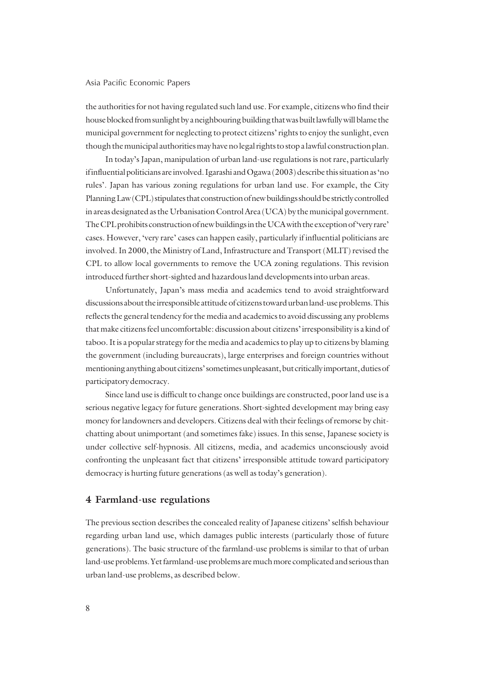the authorities for not having regulated such land use. For example, citizens who find their house blocked from sunlight by a neighbouring building that was built lawfully will blame the municipal government for neglecting to protect citizens' rights to enjoy the sunlight, even though the municipal authorities may have no legal rights to stop a lawful construction plan.

In today's Japan, manipulation of urban land-use regulations is not rare, particularly if influential politicians are involved. Igarashi and Ogawa (2003) describe this situation as 'no rules'. Japan has various zoning regulations for urban land use. For example, the City Planning Law (CPL) stipulates that construction of new buildings should be strictly controlled in areas designated as the Urbanisation Control Area (UCA) by the municipal government. The CPL prohibits construction of new buildings in the UCA with the exception of 'very rare' cases. However, 'very rare' cases can happen easily, particularly if influential politicians are involved. In 2000, the Ministry of Land, Infrastructure and Transport (MLIT) revised the CPL to allow local governments to remove the UCA zoning regulations. This revision introduced further short-sighted and hazardous land developments into urban areas.

Unfortunately, Japan's mass media and academics tend to avoid straightforward discussions about the irresponsible attitude of citizens toward urban land-use problems. This reflects the general tendency for the media and academics to avoid discussing any problems that make citizens feel uncomfortable: discussion about citizens' irresponsibility is a kind of taboo. It is a popular strategy for the media and academics to play up to citizens by blaming the government (including bureaucrats), large enterprises and foreign countries without mentioning anything about citizens' sometimes unpleasant, but critically important, duties of participatory democracy.

Since land use is difficult to change once buildings are constructed, poor land use is a serious negative legacy for future generations. Short-sighted development may bring easy money for landowners and developers. Citizens deal with their feelings of remorse by chitchatting about unimportant (and sometimes fake) issues. In this sense, Japanese society is under collective self-hypnosis. All citizens, media, and academics unconsciously avoid confronting the unpleasant fact that citizens' irresponsible attitude toward participatory democracy is hurting future generations (as well as today's generation).

#### **4 Farmland-use regulations**

The previous section describes the concealed reality of Japanese citizens' selfish behaviour regarding urban land use, which damages public interests (particularly those of future generations). The basic structure of the farmland-use problems is similar to that of urban land-use problems. Yet farmland-use problems are much more complicated and serious than urban land-use problems, as described below.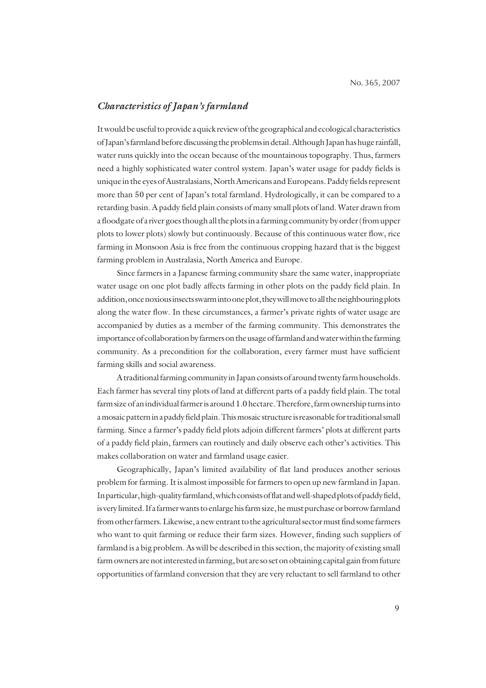## *Characteristics of Japan's farmland*

It would be useful to provide a quick review of the geographical and ecological characteristics of Japan's farmland before discussing the problems in detail. Although Japan has huge rainfall, water runs quickly into the ocean because of the mountainous topography. Thus, farmers need a highly sophisticated water control system. Japan's water usage for paddy fields is unique in the eyes of Australasians, North Americans and Europeans. Paddy fields represent more than 50 per cent of Japan's total farmland. Hydrologically, it can be compared to a retarding basin. A paddy field plain consists of many small plots of land. Water drawn from a floodgate of a river goes though all the plots in a farming community by order (from upper plots to lower plots) slowly but continuously. Because of this continuous water flow, rice farming in Monsoon Asia is free from the continuous cropping hazard that is the biggest farming problem in Australasia, North America and Europe.

Since farmers in a Japanese farming community share the same water, inappropriate water usage on one plot badly affects farming in other plots on the paddy field plain. In addition, once noxious insects swarm into one plot, they will move to all the neighbouring plots along the water flow. In these circumstances, a farmer's private rights of water usage are accompanied by duties as a member of the farming community. This demonstrates the importance of collaboration by farmers on the usage of farmland and water within the farming community. As a precondition for the collaboration, every farmer must have sufficient farming skills and social awareness.

A traditional farming community in Japan consists of around twenty farm households. Each farmer has several tiny plots of land at different parts of a paddy field plain. The total farm size of an individual farmer is around 1.0 hectare. Therefore, farm ownership turns into a mosaic pattern in a paddy field plain. This mosaic structure is reasonable for traditional small farming. Since a farmer's paddy field plots adjoin different farmers' plots at different parts of a paddy field plain, farmers can routinely and daily observe each other's activities. This makes collaboration on water and farmland usage easier.

Geographically, Japan's limited availability of flat land produces another serious problem for farming. It is almost impossible for farmers to open up new farmland in Japan. In particular, high-quality farmland, which consists of flat and well-shaped plots of paddy field, is very limited. If a farmer wants to enlarge his farm size, he must purchase or borrow farmland from other farmers. Likewise, a new entrant to the agricultural sector must find some farmers who want to quit farming or reduce their farm sizes. However, finding such suppliers of farmland is a big problem. As will be described in this section, the majority of existing small farm owners are not interested in farming, but are so set on obtaining capital gain from future opportunities of farmland conversion that they are very reluctant to sell farmland to other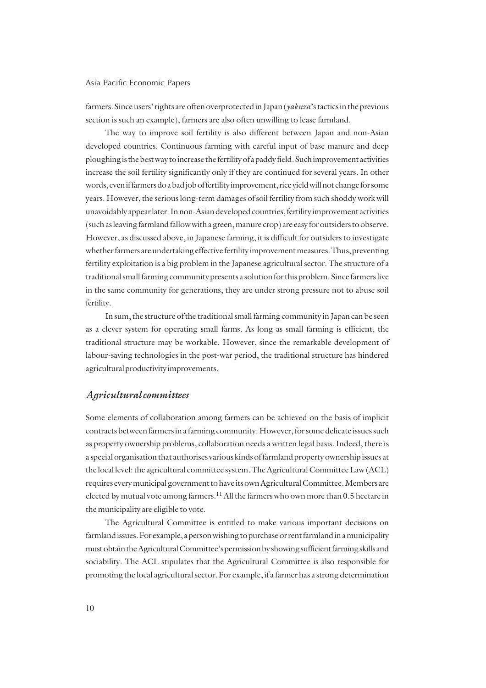farmers. Since users' rights are often overprotected in Japan (*yakuza*'s tactics in the previous section is such an example), farmers are also often unwilling to lease farmland.

The way to improve soil fertility is also different between Japan and non-Asian developed countries. Continuous farming with careful input of base manure and deep ploughing is the best way to increase the fertility of a paddy field. Such improvement activities increase the soil fertility significantly only if they are continued for several years. In other words, even if farmers do a bad job of fertility improvement, rice yield will not change for some years. However, the serious long-term damages of soil fertility from such shoddy work will unavoidably appear later. In non-Asian developed countries, fertility improvement activities (such as leaving farmland fallow with a green, manure crop) are easy for outsiders to observe. However, as discussed above, in Japanese farming, it is difficult for outsiders to investigate whether farmers are undertaking effective fertility improvement measures. Thus, preventing fertility exploitation is a big problem in the Japanese agricultural sector. The structure of a traditional small farming community presents a solution for this problem. Since farmers live in the same community for generations, they are under strong pressure not to abuse soil fertility.

In sum, the structure of the traditional small farming community in Japan can be seen as a clever system for operating small farms. As long as small farming is efficient, the traditional structure may be workable. However, since the remarkable development of labour-saving technologies in the post-war period, the traditional structure has hindered agricultural productivity improvements.

#### *Agricultural committees*

Some elements of collaboration among farmers can be achieved on the basis of implicit contracts between farmers in a farming community. However, for some delicate issues such as property ownership problems, collaboration needs a written legal basis. Indeed, there is a special organisation that authorises various kinds of farmland property ownership issues at the local level: the agricultural committee system. The Agricultural Committee Law (ACL) requires every municipal government to have its own Agricultural Committee. Members are elected by mutual vote among farmers.<sup>11</sup> All the farmers who own more than 0.5 hectare in the municipality are eligible to vote.

The Agricultural Committee is entitled to make various important decisions on farmland issues. For example, a person wishing to purchase or rent farmland in a municipality must obtain the Agricultural Committee's permission by showing sufficient farming skills and sociability. The ACL stipulates that the Agricultural Committee is also responsible for promoting the local agricultural sector. For example, if a farmer has a strong determination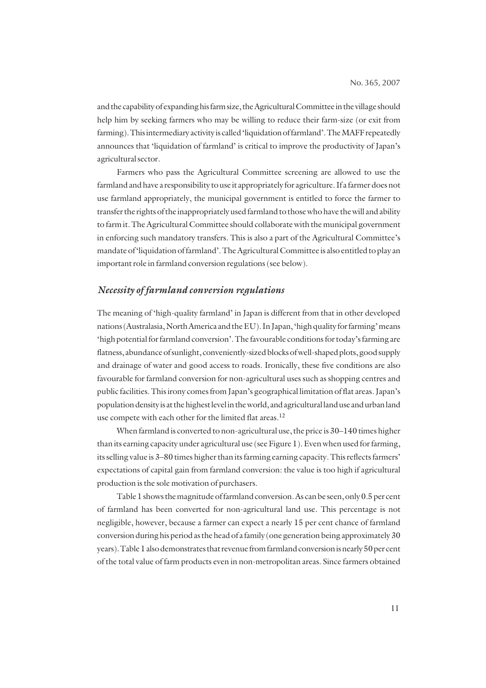and the capability of expanding his farm size, the Agricultural Committee in the village should help him by seeking farmers who may be willing to reduce their farm-size (or exit from farming). This intermediary activity is called 'liquidation of farmland'. The MAFF repeatedly announces that 'liquidation of farmland' is critical to improve the productivity of Japan's agricultural sector.

Farmers who pass the Agricultural Committee screening are allowed to use the farmland and have a responsibility to use it appropriately for agriculture. If a farmer does not use farmland appropriately, the municipal government is entitled to force the farmer to transfer the rights of the inappropriately used farmland to those who have the will and ability to farm it. The Agricultural Committee should collaborate with the municipal government in enforcing such mandatory transfers. This is also a part of the Agricultural Committee's mandate of 'liquidation of farmland'. The Agricultural Committee is also entitled to play an important role in farmland conversion regulations (see below).

### *Necessity of farmland conversion regulations*

The meaning of 'high-quality farmland' in Japan is different from that in other developed nations (Australasia, North America and the EU). In Japan, 'high quality for farming' means 'high potential for farmland conversion'. The favourable conditions for today's farming are flatness, abundance of sunlight, conveniently-sized blocks of well-shaped plots, good supply and drainage of water and good access to roads. Ironically, these five conditions are also favourable for farmland conversion for non-agricultural uses such as shopping centres and public facilities. This irony comes from Japan's geographical limitation of flat areas. Japan's population density is at the highest level in the world, and agricultural land use and urban land use compete with each other for the limited flat areas.<sup>12</sup>

When farmland is converted to non-agricultural use, the price is 30–140 times higher than its earning capacity under agricultural use (see Figure 1). Even when used for farming, its selling value is 3–80 times higher than its farming earning capacity. This reflects farmers' expectations of capital gain from farmland conversion: the value is too high if agricultural production is the sole motivation of purchasers.

Table 1 shows the magnitude of farmland conversion. As can be seen, only 0.5 per cent of farmland has been converted for non-agricultural land use. This percentage is not negligible, however, because a farmer can expect a nearly 15 per cent chance of farmland conversion during his period as the head of a family (one generation being approximately 30 years). Table 1 also demonstrates that revenue from farmland conversion is nearly 50 per cent of the total value of farm products even in non-metropolitan areas. Since farmers obtained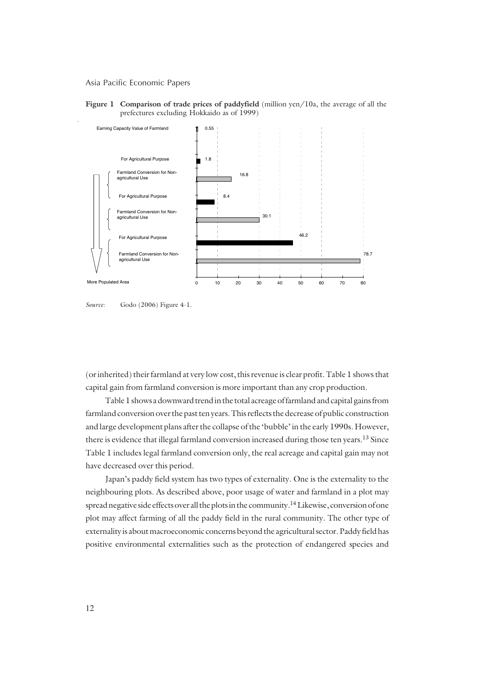





(or inherited) their farmland at very low cost, this revenue is clear profit. Table 1 shows that capital gain from farmland conversion is more important than any crop production.

Table 1 shows a downward trend in the total acreage of farmland and capital gains from farmland conversion over the past ten years. This reflects the decrease of public construction and large development plans after the collapse of the 'bubble' in the early 1990s. However, there is evidence that illegal farmland conversion increased during those ten years.<sup>13</sup> Since Table 1 includes legal farmland conversion only, the real acreage and capital gain may not have decreased over this period.

Japan's paddy field system has two types of externality. One is the externality to the neighbouring plots. As described above, poor usage of water and farmland in a plot may spread negative side effects over all the plots in the community.<sup>14</sup> Likewise, conversion of one plot may affect farming of all the paddy field in the rural community. The other type of externality is about macroeconomic concerns beyond the agricultural sector. Paddy field has positive environmental externalities such as the protection of endangered species and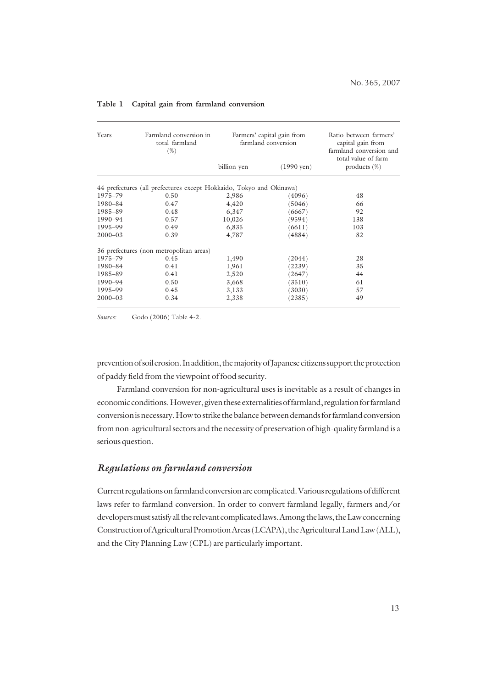| Years       | Farmland conversion in<br>total farmland<br>$(\% )$                 | Farmers' capital gain from<br>farmland conversion |                      | Ratio between farmers'<br>capital gain from<br>farmland conversion and<br>total value of farm |
|-------------|---------------------------------------------------------------------|---------------------------------------------------|----------------------|-----------------------------------------------------------------------------------------------|
|             |                                                                     | billion yen                                       | $(1990 \text{ yen})$ | products $(\%)$                                                                               |
|             | 44 prefectures (all prefectures except Hokkaido, Tokyo and Okinawa) |                                                   |                      |                                                                                               |
| 1975-79     | 0.50                                                                | 2,986                                             | (4096)               | 48                                                                                            |
| 1980-84     | 0.47                                                                | 4,420                                             | (5046)               | 66                                                                                            |
| 1985-89     | 0.48                                                                | 6,347                                             | (6667)               | 92                                                                                            |
| 1990-94     | 0.57                                                                | 10,026                                            | (9594)               | 138                                                                                           |
| 1995-99     | 0.49                                                                | 6,835                                             | (6611)               | 103                                                                                           |
| $2000 - 03$ | 0.39                                                                | 4,787                                             | (4884)               | 82                                                                                            |
|             | 36 prefectures (non metropolitan areas)                             |                                                   |                      |                                                                                               |
| 1975–79     | 0.45                                                                | 1,490                                             | (2044)               | 28                                                                                            |
| 1980-84     | 0.41                                                                | 1,961                                             | (2239)               | 35                                                                                            |
| 1985-89     | 0.41                                                                | 2,520                                             | (2647)               | 44                                                                                            |
| 1990-94     | 0.50                                                                | 3,668                                             | 3510)                | 61                                                                                            |
| 1995-99     | 0.45                                                                | 3,133                                             | 3030)                | 57                                                                                            |
| $2000 - 03$ | 0.34                                                                | 2,338                                             | (2385)               | 49                                                                                            |

#### **Table 1 Capital gain from farmland conversion**

*Source*: Godo (2006) Table 4-2.

prevention of soil erosion. In addition, the majority of Japanese citizens support the protection of paddy field from the viewpoint of food security.

Farmland conversion for non-agricultural uses is inevitable as a result of changes in economic conditions. However, given these externalities of farmland, regulation for farmland conversion is necessary. How to strike the balance between demands for farmland conversion from non-agricultural sectors and the necessity of preservation of high-quality farmland is a serious question.

## *Regulations on farmland conversion*

Current regulations on farmland conversion are complicated. Various regulations of different laws refer to farmland conversion. In order to convert farmland legally, farmers and/or developers must satisfy all the relevant complicated laws. Among the laws, the Law concerning Construction of Agricultural Promotion Areas (LCAPA), the Agricultural Land Law (ALL), and the City Planning Law (CPL) are particularly important.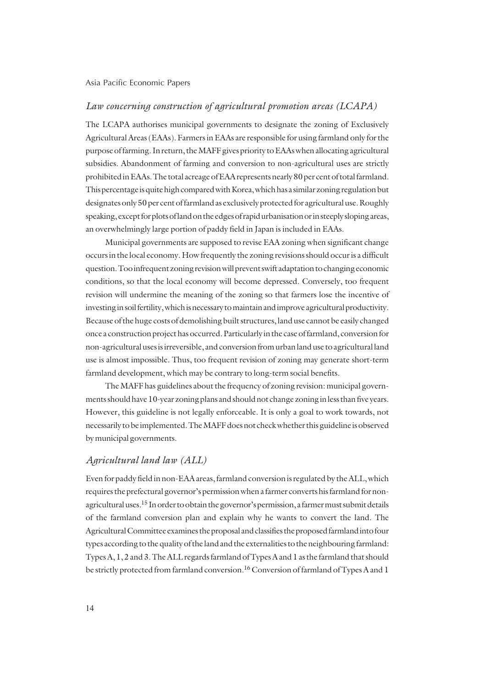### *Law concerning construction of agricultural promotion areas (LCAPA)*

The LCAPA authorises municipal governments to designate the zoning of Exclusively Agricultural Areas (EAAs). Farmers in EAAs are responsible for using farmland only for the purpose of farming. In return, the MAFF gives priority to EAAs when allocating agricultural subsidies. Abandonment of farming and conversion to non-agricultural uses are strictly prohibited in EAAs. The total acreage of EAA represents nearly 80 per cent of total farmland. This percentage is quite high compared with Korea, which has a similar zoning regulation but designates only 50 per cent of farmland as exclusively protected for agricultural use. Roughly speaking, except for plots of land on the edges of rapid urbanisation or in steeply sloping areas, an overwhelmingly large portion of paddy field in Japan is included in EAAs.

Municipal governments are supposed to revise EAA zoning when significant change occurs in the local economy. How frequently the zoning revisions should occur is a difficult question. Too infrequent zoning revision will prevent swift adaptation to changing economic conditions, so that the local economy will become depressed. Conversely, too frequent revision will undermine the meaning of the zoning so that farmers lose the incentive of investing in soil fertility, which is necessary to maintain and improve agricultural productivity. Because of the huge costs of demolishing built structures, land use cannot be easily changed once a construction project has occurred. Particularly in the case of farmland, conversion for non-agricultural uses is irreversible, and conversion from urban land use to agricultural land use is almost impossible. Thus, too frequent revision of zoning may generate short-term farmland development, which may be contrary to long-term social benefits.

The MAFF has guidelines about the frequency of zoning revision: municipal governments should have 10-year zoning plans and should not change zoning in less than five years. However, this guideline is not legally enforceable. It is only a goal to work towards, not necessarily to be implemented. The MAFF does not check whether this guideline is observed by municipal governments.

#### *Agricultural land law (ALL)*

Even for paddy field in non-EAA areas, farmland conversion is regulated by the ALL, which requires the prefectural governor's permission when a farmer converts his farmland for nonagricultural uses.15 In order to obtain the governor's permission, a farmer must submit details of the farmland conversion plan and explain why he wants to convert the land. The Agricultural Committee examines the proposal and classifies the proposed farmland into four types according to the quality of the land and the externalities to the neighbouring farmland: Types A, 1, 2 and 3. The ALL regards farmland of Types A and 1 as the farmland that should be strictly protected from farmland conversion.<sup>16</sup> Conversion of farmland of Types A and 1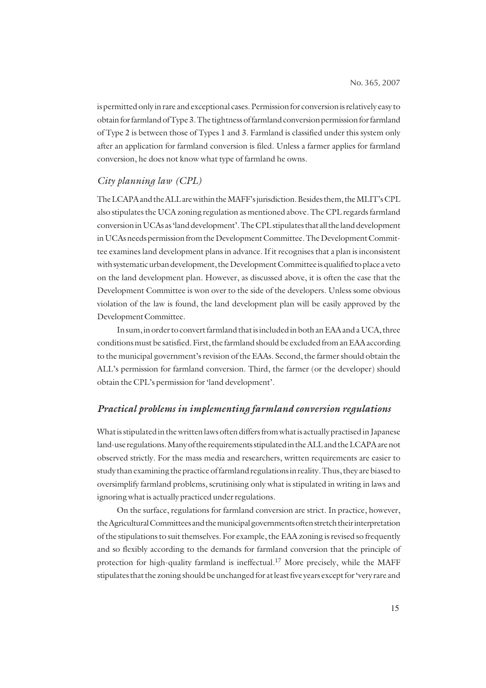is permitted only in rare and exceptional cases. Permission for conversion is relatively easy to obtain for farmland of Type 3. The tightness of farmland conversion permission for farmland of Type 2 is between those of Types 1 and 3. Farmland is classified under this system only after an application for farmland conversion is filed. Unless a farmer applies for farmland conversion, he does not know what type of farmland he owns.

## *City planning law (CPL)*

The LCAPA and the ALL are within the MAFF's jurisdiction. Besides them, the MLIT's CPL also stipulates the UCA zoning regulation as mentioned above. The CPL regards farmland conversion in UCAs as 'land development'. The CPL stipulates that all the land development in UCAs needs permission from the Development Committee. The Development Committee examines land development plans in advance. If it recognises that a plan is inconsistent with systematic urban development, the Development Committee is qualified to place a veto on the land development plan. However, as discussed above, it is often the case that the Development Committee is won over to the side of the developers. Unless some obvious violation of the law is found, the land development plan will be easily approved by the Development Committee.

In sum, in order to convert farmland that is included in both an EAA and a UCA, three conditions must be satisfied. First, the farmland should be excluded from an EAA according to the municipal government's revision of the EAAs. Second, the farmer should obtain the ALL's permission for farmland conversion. Third, the farmer (or the developer) should obtain the CPL's permission for 'land development'.

## *Practical problems in implementing farmland conversion regulations*

What is stipulated in the written laws often differs from what is actually practised in Japanese land-use regulations. Many of the requirements stipulated in the ALL and the LCAPA are not observed strictly. For the mass media and researchers, written requirements are easier to study than examining the practice of farmland regulations in reality. Thus, they are biased to oversimplify farmland problems, scrutinising only what is stipulated in writing in laws and ignoring what is actually practiced under regulations.

On the surface, regulations for farmland conversion are strict. In practice, however, the Agricultural Committees and the municipal governments often stretch their interpretation of the stipulations to suit themselves. For example, the EAA zoning is revised so frequently and so flexibly according to the demands for farmland conversion that the principle of protection for high-quality farmland is ineffectual.<sup>17</sup> More precisely, while the MAFF stipulates that the zoning should be unchanged for at least five years except for 'very rare and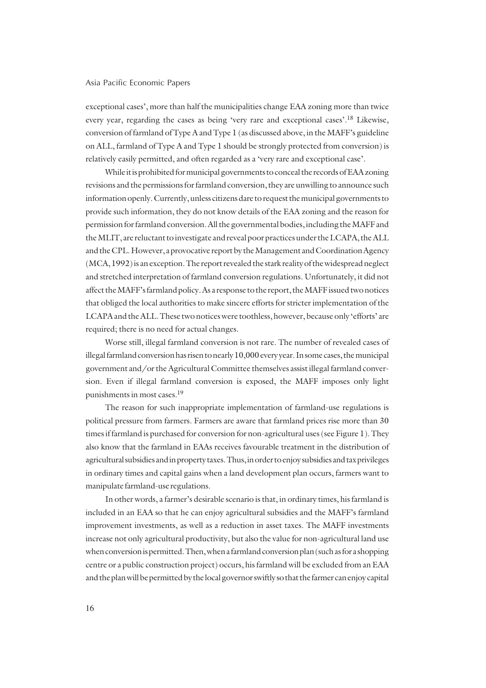exceptional cases', more than half the municipalities change EAA zoning more than twice every year, regarding the cases as being 'very rare and exceptional cases'.18 Likewise, conversion of farmland of Type A and Type 1 (as discussed above, in the MAFF's guideline on ALL, farmland of Type A and Type 1 should be strongly protected from conversion) is relatively easily permitted, and often regarded as a 'very rare and exceptional case'.

While it is prohibited for municipal governments to conceal the records of EAA zoning revisions and the permissions for farmland conversion, they are unwilling to announce such information openly. Currently, unless citizens dare to request the municipal governments to provide such information, they do not know details of the EAA zoning and the reason for permission for farmland conversion. All the governmental bodies, including the MAFF and the MLIT, are reluctant to investigate and reveal poor practices under the LCAPA, the ALL and the CPL. However, a provocative report by the Management and Coordination Agency (MCA, 1992) is an exception. The report revealed the stark reality of the widespread neglect and stretched interpretation of farmland conversion regulations. Unfortunately, it did not affect the MAFF's farmland policy. As a response to the report, the MAFF issued two notices that obliged the local authorities to make sincere efforts for stricter implementation of the LCAPA and the ALL. These two notices were toothless, however, because only 'efforts' are required; there is no need for actual changes.

Worse still, illegal farmland conversion is not rare. The number of revealed cases of illegal farmland conversion has risen to nearly 10,000 every year. In some cases, the municipal government and/or the Agricultural Committee themselves assist illegal farmland conversion. Even if illegal farmland conversion is exposed, the MAFF imposes only light punishments in most cases.19

The reason for such inappropriate implementation of farmland-use regulations is political pressure from farmers. Farmers are aware that farmland prices rise more than 30 times if farmland is purchased for conversion for non-agricultural uses (see Figure 1). They also know that the farmland in EAAs receives favourable treatment in the distribution of agricultural subsidies and in property taxes. Thus, in order to enjoy subsidies and tax privileges in ordinary times and capital gains when a land development plan occurs, farmers want to manipulate farmland-use regulations.

In other words, a farmer's desirable scenario is that, in ordinary times, his farmland is included in an EAA so that he can enjoy agricultural subsidies and the MAFF's farmland improvement investments, as well as a reduction in asset taxes. The MAFF investments increase not only agricultural productivity, but also the value for non-agricultural land use when conversion is permitted. Then, when a farmland conversion plan (such as for a shopping centre or a public construction project) occurs, his farmland will be excluded from an EAA and the plan will be permitted by the local governor swiftly so that the farmer can enjoy capital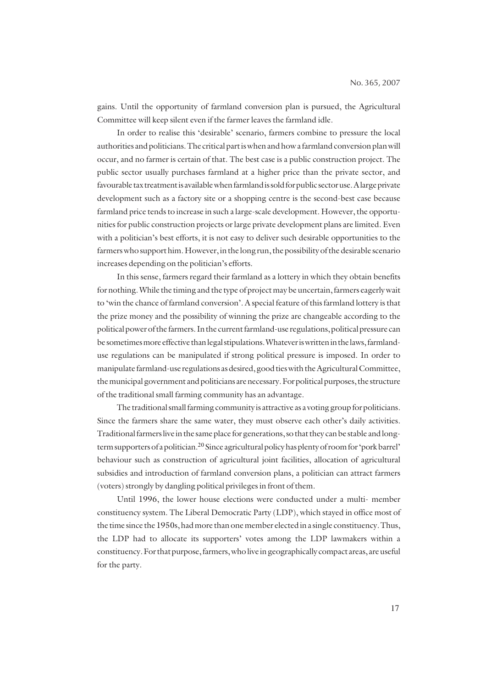gains. Until the opportunity of farmland conversion plan is pursued, the Agricultural Committee will keep silent even if the farmer leaves the farmland idle.

In order to realise this 'desirable' scenario, farmers combine to pressure the local authorities and politicians. The critical part is when and how a farmland conversion plan will occur, and no farmer is certain of that. The best case is a public construction project. The public sector usually purchases farmland at a higher price than the private sector, and favourable tax treatment is available when farmland is sold for public sector use. A large private development such as a factory site or a shopping centre is the second-best case because farmland price tends to increase in such a large-scale development. However, the opportunities for public construction projects or large private development plans are limited. Even with a politician's best efforts, it is not easy to deliver such desirable opportunities to the farmers who support him. However, in the long run, the possibility of the desirable scenario increases depending on the politician's efforts.

In this sense, farmers regard their farmland as a lottery in which they obtain benefits for nothing. While the timing and the type of project may be uncertain, farmers eagerly wait to 'win the chance of farmland conversion'. A special feature of this farmland lottery is that the prize money and the possibility of winning the prize are changeable according to the political power of the farmers. In the current farmland-use regulations, political pressure can be sometimes more effective than legal stipulations. Whatever is written in the laws, farmlanduse regulations can be manipulated if strong political pressure is imposed. In order to manipulate farmland-use regulations as desired, good ties with the Agricultural Committee, the municipal government and politicians are necessary. For political purposes, the structure of the traditional small farming community has an advantage.

The traditional small farming community is attractive as a voting group for politicians. Since the farmers share the same water, they must observe each other's daily activities. Traditional farmers live in the same place for generations, so that they can be stable and longterm supporters of a politician.20 Since agricultural policy has plenty of room for 'pork barrel' behaviour such as construction of agricultural joint facilities, allocation of agricultural subsidies and introduction of farmland conversion plans, a politician can attract farmers (voters) strongly by dangling political privileges in front of them.

Until 1996, the lower house elections were conducted under a multi- member constituency system. The Liberal Democratic Party (LDP), which stayed in office most of the time since the 1950s, had more than one member elected in a single constituency. Thus, the LDP had to allocate its supporters' votes among the LDP lawmakers within a constituency. For that purpose, farmers, who live in geographically compact areas, are useful for the party.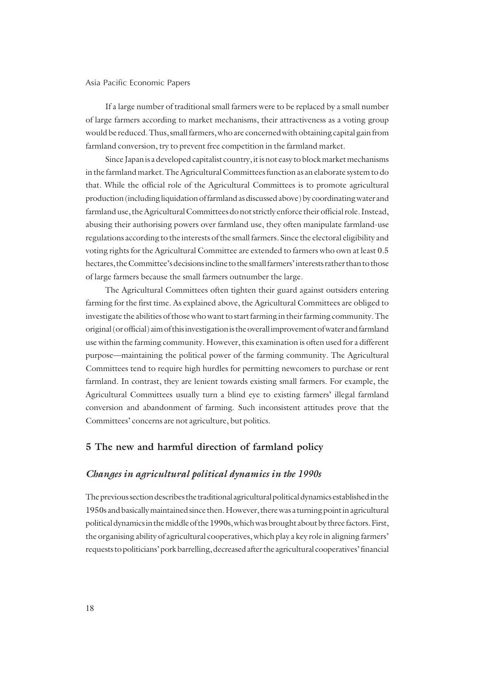If a large number of traditional small farmers were to be replaced by a small number of large farmers according to market mechanisms, their attractiveness as a voting group would be reduced. Thus, small farmers, who are concerned with obtaining capital gain from farmland conversion, try to prevent free competition in the farmland market.

Since Japan is a developed capitalist country, it is not easy to block market mechanisms in the farmland market. The Agricultural Committees function as an elaborate system to do that. While the official role of the Agricultural Committees is to promote agricultural production (including liquidation of farmland as discussed above) by coordinating water and farmland use, the Agricultural Committees do not strictly enforce their official role. Instead, abusing their authorising powers over farmland use, they often manipulate farmland-use regulations according to the interests of the small farmers. Since the electoral eligibility and voting rights for the Agricultural Committee are extended to farmers who own at least 0.5 hectares, the Committee's decisions incline to the small farmers' interests rather than to those of large farmers because the small farmers outnumber the large.

The Agricultural Committees often tighten their guard against outsiders entering farming for the first time. As explained above, the Agricultural Committees are obliged to investigate the abilities of those who want to start farming in their farming community. The original (or official) aim of this investigation is the overall improvement of water and farmland use within the farming community. However, this examination is often used for a different purpose—maintaining the political power of the farming community. The Agricultural Committees tend to require high hurdles for permitting newcomers to purchase or rent farmland. In contrast, they are lenient towards existing small farmers. For example, the Agricultural Committees usually turn a blind eye to existing farmers' illegal farmland conversion and abandonment of farming. Such inconsistent attitudes prove that the Committees' concerns are not agriculture, but politics.

### **5 The new and harmful direction of farmland policy**

#### *Changes in agricultural political dynamics in the 1990s*

The previous section describes the traditional agricultural political dynamics established in the 1950s and basically maintained since then. However, there was a turning point in agricultural political dynamics in the middle of the 1990s, which was brought about by three factors. First, the organising ability of agricultural cooperatives, which play a key role in aligning farmers' requests to politicians' pork barrelling, decreased after the agricultural cooperatives' financial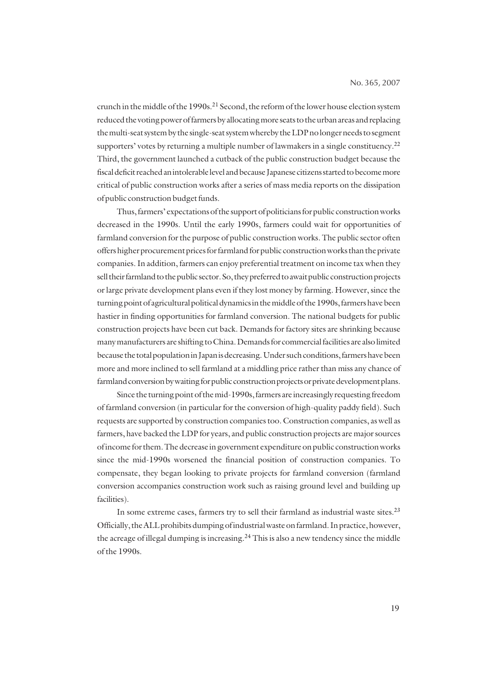crunch in the middle of the 1990s.<sup>21</sup> Second, the reform of the lower house election system reduced the voting power of farmers by allocating more seats to the urban areas and replacing the multi-seat system by the single-seat system whereby the LDP no longer needs to segment supporters' votes by returning a multiple number of lawmakers in a single constituency.<sup>22</sup> Third, the government launched a cutback of the public construction budget because the fiscal deficit reached an intolerable level and because Japanese citizens started to become more critical of public construction works after a series of mass media reports on the dissipation of public construction budget funds.

Thus, farmers' expectations of the support of politicians for public construction works decreased in the 1990s. Until the early 1990s, farmers could wait for opportunities of farmland conversion for the purpose of public construction works. The public sector often offers higher procurement prices for farmland for public construction works than the private companies. In addition, farmers can enjoy preferential treatment on income tax when they sell their farmland to the public sector. So, they preferred to await public construction projects or large private development plans even if they lost money by farming. However, since the turning point of agricultural political dynamics in the middle of the 1990s, farmers have been hastier in finding opportunities for farmland conversion. The national budgets for public construction projects have been cut back. Demands for factory sites are shrinking because many manufacturers are shifting to China. Demands for commercial facilities are also limited because the total population in Japan is decreasing. Under such conditions, farmers have been more and more inclined to sell farmland at a middling price rather than miss any chance of farmland conversion by waiting for public construction projects or private development plans.

Since the turning point of the mid-1990s, farmers are increasingly requesting freedom of farmland conversion (in particular for the conversion of high-quality paddy field). Such requests are supported by construction companies too. Construction companies, as well as farmers, have backed the LDP for years, and public construction projects are major sources of income for them. The decrease in government expenditure on public construction works since the mid-1990s worsened the financial position of construction companies. To compensate, they began looking to private projects for farmland conversion (farmland conversion accompanies construction work such as raising ground level and building up facilities).

In some extreme cases, farmers try to sell their farmland as industrial waste sites.<sup>23</sup> Officially, the ALL prohibits dumping of industrial waste on farmland. In practice, however, the acreage of illegal dumping is increasing.<sup>24</sup> This is also a new tendency since the middle of the 1990s.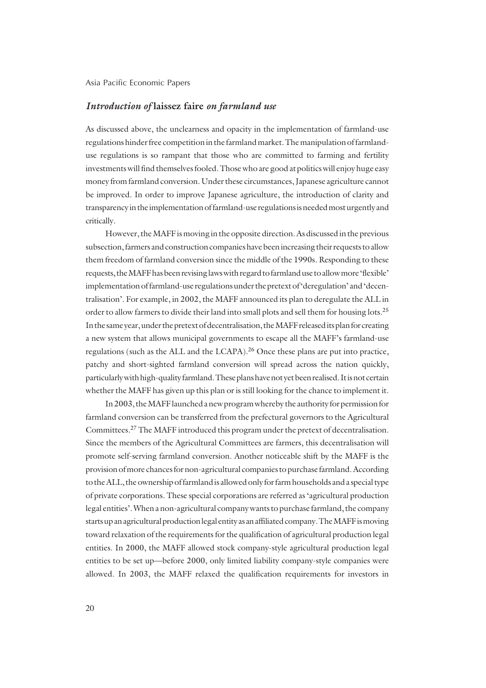### *Introduction of* **laissez faire** *on farmland use*

As discussed above, the unclearness and opacity in the implementation of farmland-use regulations hinder free competition in the farmland market. The manipulation of farmlanduse regulations is so rampant that those who are committed to farming and fertility investments will find themselves fooled. Those who are good at politics will enjoy huge easy money from farmland conversion. Under these circumstances, Japanese agriculture cannot be improved. In order to improve Japanese agriculture, the introduction of clarity and transparency in the implementation of farmland-use regulations is needed most urgently and critically.

However, the MAFF is moving in the opposite direction. As discussed in the previous subsection, farmers and construction companies have been increasing their requests to allow them freedom of farmland conversion since the middle of the 1990s. Responding to these requests, the MAFF has been revising laws with regard to farmland use to allow more 'flexible' implementation of farmland-use regulations under the pretext of 'deregulation' and 'decentralisation'. For example, in 2002, the MAFF announced its plan to deregulate the ALL in order to allow farmers to divide their land into small plots and sell them for housing lots.25 In the same year, under the pretext of decentralisation, the MAFF released its plan for creating a new system that allows municipal governments to escape all the MAFF's farmland-use regulations (such as the ALL and the LCAPA).26 Once these plans are put into practice, patchy and short-sighted farmland conversion will spread across the nation quickly, particularly with high-quality farmland. These plans have not yet been realised. It is not certain whether the MAFF has given up this plan or is still looking for the chance to implement it.

In 2003, the MAFF launched a new program whereby the authority for permission for farmland conversion can be transferred from the prefectural governors to the Agricultural Committees.27 The MAFF introduced this program under the pretext of decentralisation. Since the members of the Agricultural Committees are farmers, this decentralisation will promote self-serving farmland conversion. Another noticeable shift by the MAFF is the provision of more chances for non-agricultural companies to purchase farmland. According to the ALL, the ownership of farmland is allowed only for farm households and a special type of private corporations. These special corporations are referred as 'agricultural production legal entities'. When a non-agricultural company wants to purchase farmland, the company starts up an agricultural production legal entity as an affiliated company. The MAFF is moving toward relaxation of the requirements for the qualification of agricultural production legal entities. In 2000, the MAFF allowed stock company-style agricultural production legal entities to be set up—before 2000, only limited liability company-style companies were allowed. In 2003, the MAFF relaxed the qualification requirements for investors in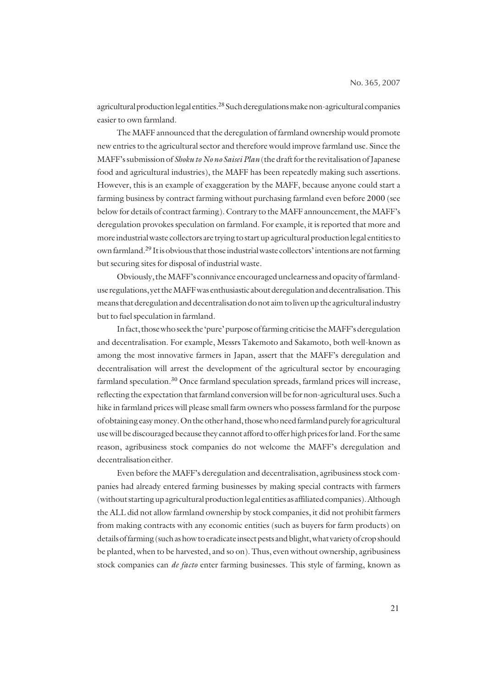agricultural production legal entities.<sup>28</sup> Such deregulations make non-agricultural companies easier to own farmland.

The MAFF announced that the deregulation of farmland ownership would promote new entries to the agricultural sector and therefore would improve farmland use. Since the MAFF's submission of *Shoku to No no Saisei Plan* (the draft for the revitalisation of Japanese food and agricultural industries), the MAFF has been repeatedly making such assertions. However, this is an example of exaggeration by the MAFF, because anyone could start a farming business by contract farming without purchasing farmland even before 2000 (see below for details of contract farming). Contrary to the MAFF announcement, the MAFF's deregulation provokes speculation on farmland. For example, it is reported that more and more industrial waste collectors are trying to start up agricultural production legal entities to own farmland.29 It is obvious that those industrial waste collectors' intentions are not farming but securing sites for disposal of industrial waste.

Obviously, the MAFF's connivance encouraged unclearness and opacity of farmlanduse regulations, yet the MAFF was enthusiastic about deregulation and decentralisation. This means that deregulation and decentralisation do not aim to liven up the agricultural industry but to fuel speculation in farmland.

In fact, those who seek the 'pure' purpose of farming criticise the MAFF's deregulation and decentralisation. For example, Messrs Takemoto and Sakamoto, both well-known as among the most innovative farmers in Japan, assert that the MAFF's deregulation and decentralisation will arrest the development of the agricultural sector by encouraging farmland speculation.<sup>30</sup> Once farmland speculation spreads, farmland prices will increase, reflecting the expectation that farmland conversion will be for non-agricultural uses. Such a hike in farmland prices will please small farm owners who possess farmland for the purpose of obtaining easy money. On the other hand, those who need farmland purely for agricultural use will be discouraged because they cannot afford to offer high prices for land. For the same reason, agribusiness stock companies do not welcome the MAFF's deregulation and decentralisation either.

Even before the MAFF's deregulation and decentralisation, agribusiness stock companies had already entered farming businesses by making special contracts with farmers (without starting up agricultural production legal entities as affiliated companies). Although the ALL did not allow farmland ownership by stock companies, it did not prohibit farmers from making contracts with any economic entities (such as buyers for farm products) on details of farming (such as how to eradicate insect pests and blight, what variety of crop should be planted, when to be harvested, and so on). Thus, even without ownership, agribusiness stock companies can *de facto* enter farming businesses. This style of farming, known as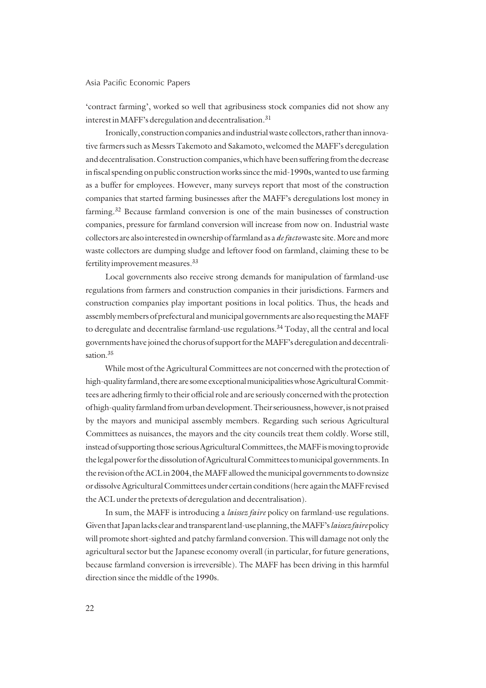'contract farming', worked so well that agribusiness stock companies did not show any interest in MAFF's deregulation and decentralisation.<sup>31</sup>

Ironically, construction companies and industrial waste collectors, rather than innovative farmers such as Messrs Takemoto and Sakamoto, welcomed the MAFF's deregulation and decentralisation. Construction companies, which have been suffering from the decrease in fiscal spending on public construction works since the mid-1990s, wanted to use farming as a buffer for employees. However, many surveys report that most of the construction companies that started farming businesses after the MAFF's deregulations lost money in farming.32 Because farmland conversion is one of the main businesses of construction companies, pressure for farmland conversion will increase from now on. Industrial waste collectors are also interested in ownership of farmland as a *de facto* waste site. More and more waste collectors are dumping sludge and leftover food on farmland, claiming these to be fertility improvement measures.33

Local governments also receive strong demands for manipulation of farmland-use regulations from farmers and construction companies in their jurisdictions. Farmers and construction companies play important positions in local politics. Thus, the heads and assembly members of prefectural and municipal governments are also requesting the MAFF to deregulate and decentralise farmland-use regulations.<sup>34</sup> Today, all the central and local governments have joined the chorus of support for the MAFF's deregulation and decentralisation<sup>35</sup>

While most of the Agricultural Committees are not concerned with the protection of high-quality farmland, there are some exceptional municipalities whose Agricultural Committees are adhering firmly to their official role and are seriously concerned with the protection of high-quality farmland from urban development. Their seriousness, however, is not praised by the mayors and municipal assembly members. Regarding such serious Agricultural Committees as nuisances, the mayors and the city councils treat them coldly. Worse still, instead of supporting those serious Agricultural Committees, the MAFF is moving to provide the legal power for the dissolution of Agricultural Committees to municipal governments. In the revision of the ACL in 2004, the MAFF allowed the municipal governments to downsize or dissolve Agricultural Committees under certain conditions (here again the MAFF revised the ACL under the pretexts of deregulation and decentralisation).

In sum, the MAFF is introducing a *laissez faire* policy on farmland-use regulations. Given that Japan lacks clear and transparent land-use planning, the MAFF's *laissez faire* policy will promote short-sighted and patchy farmland conversion. This will damage not only the agricultural sector but the Japanese economy overall (in particular, for future generations, because farmland conversion is irreversible). The MAFF has been driving in this harmful direction since the middle of the 1990s.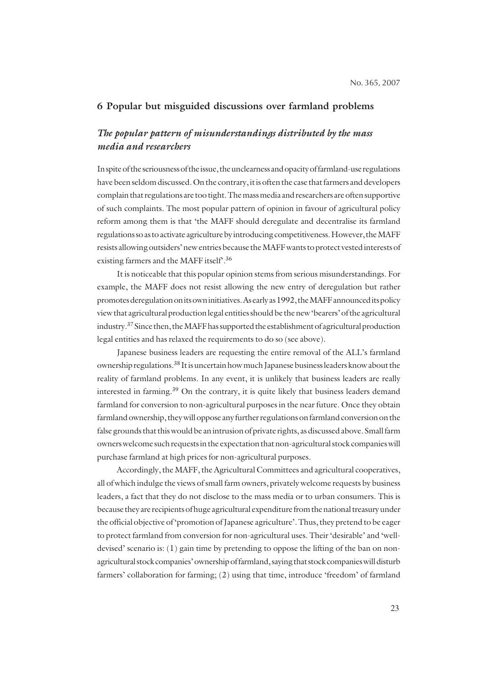### **6 Popular but misguided discussions over farmland problems**

## *The popular pattern of misunderstandings distributed by the mass media and researchers*

In spite of the seriousness of the issue, the unclearness and opacity of farmland-use regulations have been seldom discussed. On the contrary, it is often the case that farmers and developers complain that regulations are too tight. The mass media and researchers are often supportive of such complaints. The most popular pattern of opinion in favour of agricultural policy reform among them is that 'the MAFF should deregulate and decentralise its farmland regulations so as to activate agriculture by introducing competitiveness. However, the MAFF resists allowing outsiders' new entries because the MAFF wants to protect vested interests of existing farmers and the MAFF itself<sup>36</sup>.

It is noticeable that this popular opinion stems from serious misunderstandings. For example, the MAFF does not resist allowing the new entry of deregulation but rather promotes deregulation on its own initiatives. As early as 1992, the MAFF announced its policy view that agricultural production legal entities should be the new 'bearers' of the agricultural industry.37 Since then, the MAFF has supported the establishment of agricultural production legal entities and has relaxed the requirements to do so (see above).

Japanese business leaders are requesting the entire removal of the ALL's farmland ownership regulations.<sup>38</sup> It is uncertain how much Japanese business leaders know about the reality of farmland problems. In any event, it is unlikely that business leaders are really interested in farming.<sup>39</sup> On the contrary, it is quite likely that business leaders demand farmland for conversion to non-agricultural purposes in the near future. Once they obtain farmland ownership, they will oppose any further regulations on farmland conversion on the false grounds that this would be an intrusion of private rights, as discussed above. Small farm owners welcome such requests in the expectation that non-agricultural stock companies will purchase farmland at high prices for non-agricultural purposes.

Accordingly, the MAFF, the Agricultural Committees and agricultural cooperatives, all of which indulge the views of small farm owners, privately welcome requests by business leaders, a fact that they do not disclose to the mass media or to urban consumers. This is because they are recipients of huge agricultural expenditure from the national treasury under the official objective of 'promotion of Japanese agriculture'. Thus, they pretend to be eager to protect farmland from conversion for non-agricultural uses. Their 'desirable' and 'welldevised' scenario is: (1) gain time by pretending to oppose the lifting of the ban on nonagricultural stock companies' ownership of farmland, saying that stock companies will disturb farmers' collaboration for farming; (2) using that time, introduce 'freedom' of farmland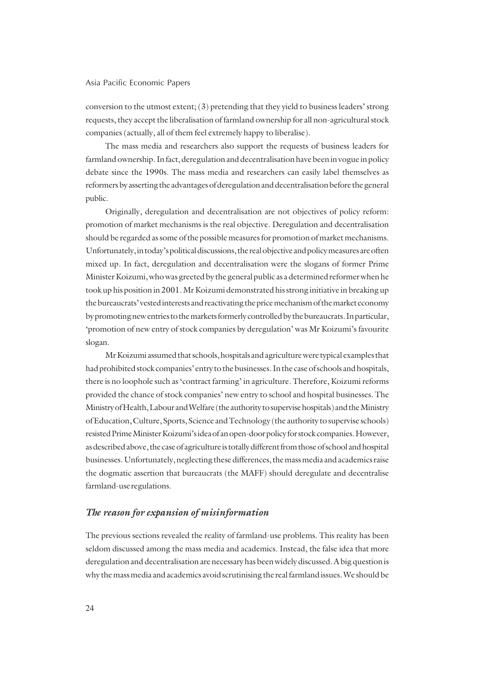conversion to the utmost extent; (3) pretending that they yield to business leaders' strong requests, they accept the liberalisation of farmland ownership for all non-agricultural stock companies (actually, all of them feel extremely happy to liberalise).

The mass media and researchers also support the requests of business leaders for farmland ownership. In fact, deregulation and decentralisation have been in vogue in policy debate since the 1990s. The mass media and researchers can easily label themselves as reformers by asserting the advantages of deregulation and decentralisation before the general public.

Originally, deregulation and decentralisation are not objectives of policy reform: promotion of market mechanisms is the real objective. Deregulation and decentralisation should be regarded as some of the possible measures for promotion of market mechanisms. Unfortunately, in today's political discussions, the real objective and policy measures are often mixed up. In fact, deregulation and decentralisation were the slogans of former Prime Minister Koizumi, who was greeted by the general public as a determined reformer when he took up his position in 2001. Mr Koizumi demonstrated his strong initiative in breaking up the bureaucrats' vested interests and reactivating the price mechanism of the market economy by promoting new entries to the markets formerly controlled by the bureaucrats. In particular, 'promotion of new entry of stock companies by deregulation' was Mr Koizumi's favourite slogan.

Mr Koizumi assumed that schools, hospitals and agriculture were typical examples that had prohibited stock companies' entry to the businesses. In the case of schools and hospitals, there is no loophole such as 'contract farming' in agriculture. Therefore, Koizumi reforms provided the chance of stock companies' new entry to school and hospital businesses. The Ministry of Health, Labour and Welfare (the authority to supervise hospitals) and the Ministry of Education, Culture, Sports, Science and Technology (the authority to supervise schools) resisted Prime Minister Koizumi's idea of an open-door policy for stock companies. However, as described above, the case of agriculture is totally different from those of school and hospital businesses. Unfortunately, neglecting these differences, the mass media and academics raise the dogmatic assertion that bureaucrats (the MAFF) should deregulate and decentralise farmland-use regulations.

#### *The reason for expansion of misinformation*

The previous sections revealed the reality of farmland-use problems. This reality has been seldom discussed among the mass media and academics. Instead, the false idea that more deregulation and decentralisation are necessary has been widely discussed. A big question is why the mass media and academics avoid scrutinising the real farmland issues. We should be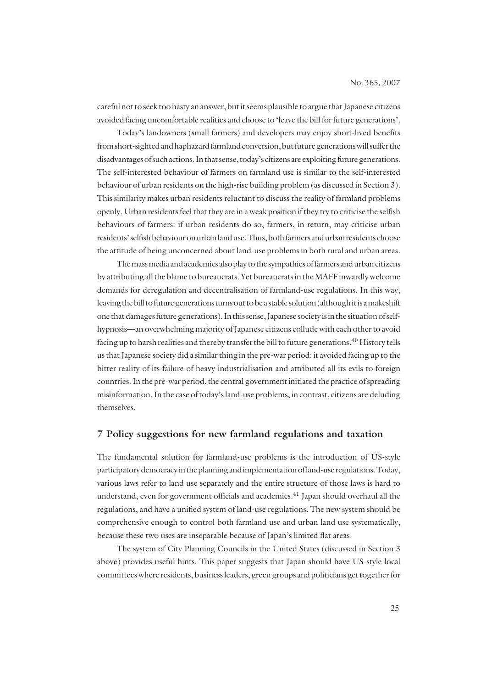careful not to seek too hasty an answer, but it seems plausible to argue that Japanese citizens avoided facing uncomfortable realities and choose to 'leave the bill for future generations'.

Today's landowners (small farmers) and developers may enjoy short-lived benefits from short-sighted and haphazard farmland conversion, but future generations will suffer the disadvantages of such actions. In that sense, today's citizens are exploiting future generations. The self-interested behaviour of farmers on farmland use is similar to the self-interested behaviour of urban residents on the high-rise building problem (as discussed in Section 3). This similarity makes urban residents reluctant to discuss the reality of farmland problems openly. Urban residents feel that they are in a weak position if they try to criticise the selfish behaviours of farmers: if urban residents do so, farmers, in return, may criticise urban residents' selfish behaviour on urban land use. Thus, both farmers and urban residents choose the attitude of being unconcerned about land-use problems in both rural and urban areas.

The mass media and academics also play to the sympathies of farmers and urban citizens by attributing all the blame to bureaucrats. Yet bureaucrats in the MAFF inwardly welcome demands for deregulation and decentralisation of farmland-use regulations. In this way, leaving the bill to future generations turns out to be a stable solution (although it is a makeshift one that damages future generations). In this sense, Japanese society is in the situation of selfhypnosis—an overwhelming majority of Japanese citizens collude with each other to avoid facing up to harsh realities and thereby transfer the bill to future generations.<sup>40</sup> History tells us that Japanese society did a similar thing in the pre-war period: it avoided facing up to the bitter reality of its failure of heavy industrialisation and attributed all its evils to foreign countries. In the pre-war period, the central government initiated the practice of spreading misinformation. In the case of today's land-use problems, in contrast, citizens are deluding themselves.

#### **7 Policy suggestions for new farmland regulations and taxation**

The fundamental solution for farmland-use problems is the introduction of US-style participatory democracy in the planning and implementation of land-use regulations. Today, various laws refer to land use separately and the entire structure of those laws is hard to understand, even for government officials and academics.<sup>41</sup> Japan should overhaul all the regulations, and have a unified system of land-use regulations. The new system should be comprehensive enough to control both farmland use and urban land use systematically, because these two uses are inseparable because of Japan's limited flat areas.

The system of City Planning Councils in the United States (discussed in Section 3 above) provides useful hints. This paper suggests that Japan should have US-style local committees where residents, business leaders, green groups and politicians get together for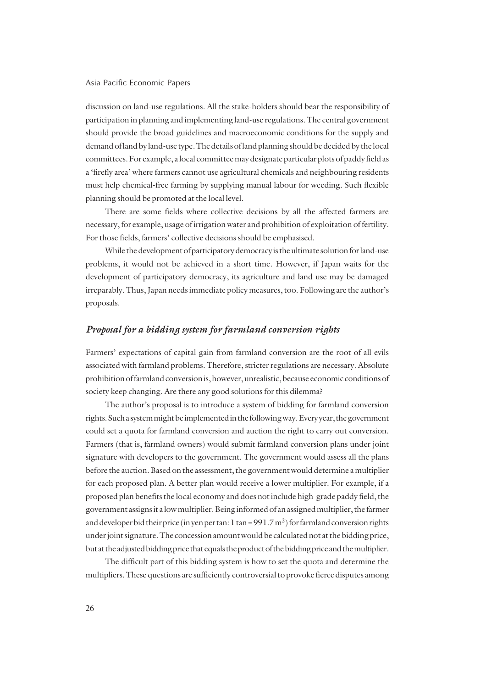discussion on land-use regulations. All the stake-holders should bear the responsibility of participation in planning and implementing land-use regulations. The central government should provide the broad guidelines and macroeconomic conditions for the supply and demand of land by land-use type. The details of land planning should be decided by the local committees. For example, a local committee may designate particular plots of paddy field as a 'firefly area' where farmers cannot use agricultural chemicals and neighbouring residents must help chemical-free farming by supplying manual labour for weeding. Such flexible planning should be promoted at the local level.

There are some fields where collective decisions by all the affected farmers are necessary, for example, usage of irrigation water and prohibition of exploitation of fertility. For those fields, farmers' collective decisions should be emphasised.

While the development of participatory democracy is the ultimate solution for land-use problems, it would not be achieved in a short time. However, if Japan waits for the development of participatory democracy, its agriculture and land use may be damaged irreparably. Thus, Japan needs immediate policy measures, too. Following are the author's proposals.

## *Proposal for a bidding system for farmland conversion rights*

Farmers' expectations of capital gain from farmland conversion are the root of all evils associated with farmland problems. Therefore, stricter regulations are necessary. Absolute prohibition of farmland conversion is, however, unrealistic, because economic conditions of society keep changing. Are there any good solutions for this dilemma?

The author's proposal is to introduce a system of bidding for farmland conversion rights. Such a system might be implemented in the following way. Every year, the government could set a quota for farmland conversion and auction the right to carry out conversion. Farmers (that is, farmland owners) would submit farmland conversion plans under joint signature with developers to the government. The government would assess all the plans before the auction. Based on the assessment, the government would determine a multiplier for each proposed plan. A better plan would receive a lower multiplier. For example, if a proposed plan benefits the local economy and does not include high-grade paddy field, the government assigns it a low multiplier. Being informed of an assigned multiplier, the farmer and developer bid their price (in yen per tan: 1 tan =  $991.7 \text{ m}^2$ ) for farmland conversion rights under joint signature. The concession amount would be calculated not at the bidding price, but at the adjusted bidding price that equals the product of the bidding price and the multiplier.

The difficult part of this bidding system is how to set the quota and determine the multipliers. These questions are sufficiently controversial to provoke fierce disputes among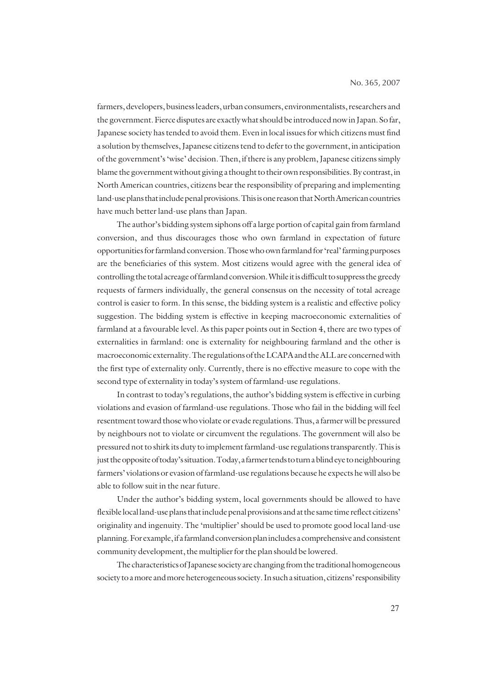farmers, developers, business leaders, urban consumers, environmentalists, researchers and the government. Fierce disputes are exactly what should be introduced now in Japan. So far, Japanese society has tended to avoid them. Even in local issues for which citizens must find a solution by themselves, Japanese citizens tend to defer to the government, in anticipation of the government's 'wise' decision. Then, if there is any problem, Japanese citizens simply blame the government without giving a thought to their own responsibilities. By contrast, in North American countries, citizens bear the responsibility of preparing and implementing land-use plans that include penal provisions. This is one reason that North American countries have much better land-use plans than Japan.

The author's bidding system siphons off a large portion of capital gain from farmland conversion, and thus discourages those who own farmland in expectation of future opportunities for farmland conversion. Those who own farmland for 'real' farming purposes are the beneficiaries of this system. Most citizens would agree with the general idea of controlling the total acreage of farmland conversion. While it is difficult to suppress the greedy requests of farmers individually, the general consensus on the necessity of total acreage control is easier to form. In this sense, the bidding system is a realistic and effective policy suggestion. The bidding system is effective in keeping macroeconomic externalities of farmland at a favourable level. As this paper points out in Section 4, there are two types of externalities in farmland: one is externality for neighbouring farmland and the other is macroeconomic externality. The regulations of the LCAPA and the ALL are concerned with the first type of externality only. Currently, there is no effective measure to cope with the second type of externality in today's system of farmland-use regulations.

In contrast to today's regulations, the author's bidding system is effective in curbing violations and evasion of farmland-use regulations. Those who fail in the bidding will feel resentment toward those who violate or evade regulations. Thus, a farmer will be pressured by neighbours not to violate or circumvent the regulations. The government will also be pressured not to shirk its duty to implement farmland-use regulations transparently. This is just the opposite of today's situation. Today, a farmer tends to turn a blind eye to neighbouring farmers' violations or evasion of farmland-use regulations because he expects he will also be able to follow suit in the near future.

Under the author's bidding system, local governments should be allowed to have flexible local land-use plans that include penal provisions and at the same time reflect citizens' originality and ingenuity. The 'multiplier' should be used to promote good local land-use planning. For example, if a farmland conversion plan includes a comprehensive and consistent community development, the multiplier for the plan should be lowered.

The characteristics of Japanese society are changing from the traditional homogeneous society to a more and more heterogeneous society. In such a situation, citizens' responsibility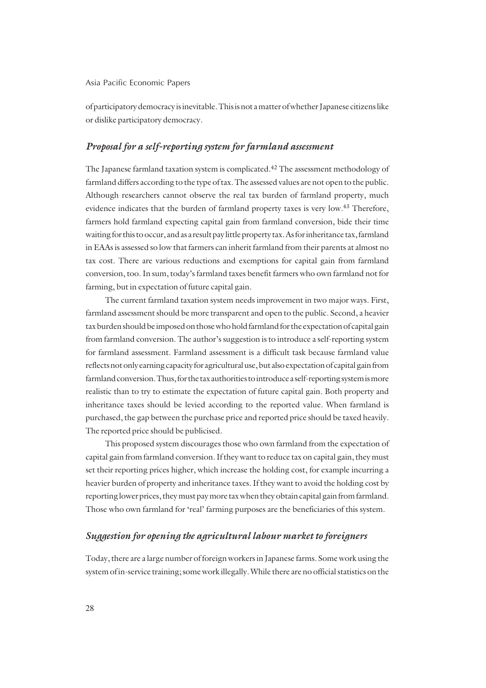of participatory democracy is inevitable. This is not a matter of whether Japanese citizens like or dislike participatory democracy.

#### *Proposal for a self-reporting system for farmland assessment*

The Japanese farmland taxation system is complicated.42 The assessment methodology of farmland differs according to the type of tax. The assessed values are not open to the public. Although researchers cannot observe the real tax burden of farmland property, much evidence indicates that the burden of farmland property taxes is very low.<sup>43</sup> Therefore, farmers hold farmland expecting capital gain from farmland conversion, bide their time waiting for this to occur, and as a result pay little property tax. As for inheritance tax, farmland in EAAs is assessed so low that farmers can inherit farmland from their parents at almost no tax cost. There are various reductions and exemptions for capital gain from farmland conversion, too. In sum, today's farmland taxes benefit farmers who own farmland not for farming, but in expectation of future capital gain.

The current farmland taxation system needs improvement in two major ways. First, farmland assessment should be more transparent and open to the public. Second, a heavier tax burden should be imposed on those who hold farmland for the expectation of capital gain from farmland conversion. The author's suggestion is to introduce a self-reporting system for farmland assessment. Farmland assessment is a difficult task because farmland value reflects not only earning capacity for agricultural use, but also expectation of capital gain from farmland conversion. Thus, for the tax authorities to introduce a self-reporting system is more realistic than to try to estimate the expectation of future capital gain. Both property and inheritance taxes should be levied according to the reported value. When farmland is purchased, the gap between the purchase price and reported price should be taxed heavily. The reported price should be publicised.

This proposed system discourages those who own farmland from the expectation of capital gain from farmland conversion. If they want to reduce tax on capital gain, they must set their reporting prices higher, which increase the holding cost, for example incurring a heavier burden of property and inheritance taxes. If they want to avoid the holding cost by reporting lower prices, they must pay more tax when they obtain capital gain from farmland. Those who own farmland for 'real' farming purposes are the beneficiaries of this system.

## *Suggestion for opening the agricultural labour market to foreigners*

Today, there are a large number of foreign workers in Japanese farms. Some work using the system of in-service training; some work illegally. While there are no official statistics on the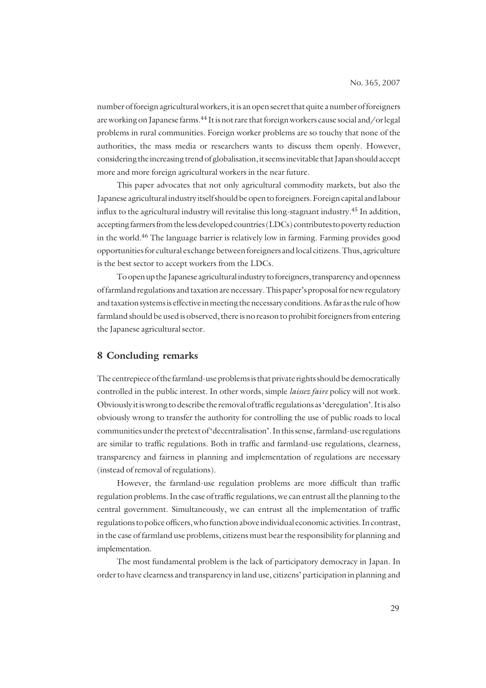number of foreign agricultural workers, it is an open secret that quite a number of foreigners are working on Japanese farms.<sup>44</sup> It is not rare that foreign workers cause social and/or legal problems in rural communities. Foreign worker problems are so touchy that none of the authorities, the mass media or researchers wants to discuss them openly. However, considering the increasing trend of globalisation, it seems inevitable that Japan should accept more and more foreign agricultural workers in the near future.

This paper advocates that not only agricultural commodity markets, but also the Japanese agricultural industry itself should be open to foreigners. Foreign capital and labour influx to the agricultural industry will revitalise this long-stagnant industry.<sup>45</sup> In addition, accepting farmers from the less developed countries (LDCs) contributes to poverty reduction in the world.46 The language barrier is relatively low in farming. Farming provides good opportunities for cultural exchange between foreigners and local citizens. Thus, agriculture is the best sector to accept workers from the LDCs.

To open up the Japanese agricultural industry to foreigners, transparency and openness of farmland regulations and taxation are necessary. This paper's proposal for new regulatory and taxation systems is effective in meeting the necessary conditions. As far as the rule of how farmland should be used is observed, there is no reason to prohibit foreigners from entering the Japanese agricultural sector.

### **8 Concluding remarks**

The centrepiece of the farmland-use problems is that private rights should be democratically controlled in the public interest. In other words, simple *laissez faire* policy will not work. Obviously it is wrong to describe the removal of traffic regulations as 'deregulation'. It is also obviously wrong to transfer the authority for controlling the use of public roads to local communities under the pretext of 'decentralisation'. In this sense, farmland-use regulations are similar to traffic regulations. Both in traffic and farmland-use regulations, clearness, transparency and fairness in planning and implementation of regulations are necessary (instead of removal of regulations).

However, the farmland-use regulation problems are more difficult than traffic regulation problems. In the case of traffic regulations, we can entrust all the planning to the central government. Simultaneously, we can entrust all the implementation of traffic regulations to police officers, who function above individual economic activities. In contrast, in the case of farmland use problems, citizens must bear the responsibility for planning and implementation.

The most fundamental problem is the lack of participatory democracy in Japan. In order to have clearness and transparency in land use, citizens' participation in planning and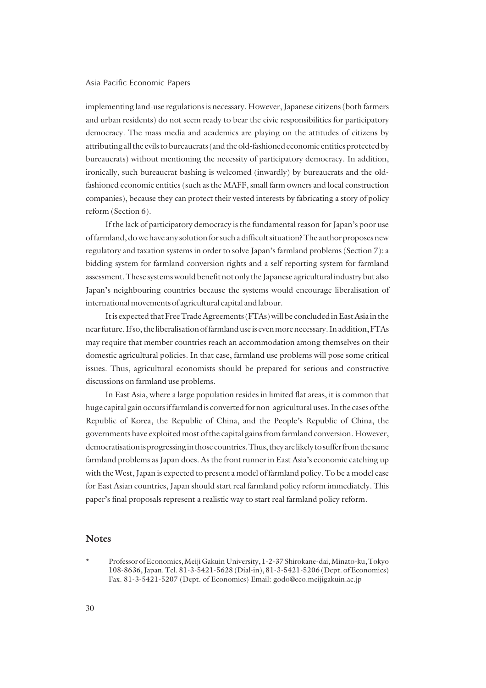implementing land-use regulations is necessary. However, Japanese citizens (both farmers and urban residents) do not seem ready to bear the civic responsibilities for participatory democracy. The mass media and academics are playing on the attitudes of citizens by attributing all the evils to bureaucrats (and the old-fashioned economic entities protected by bureaucrats) without mentioning the necessity of participatory democracy. In addition, ironically, such bureaucrat bashing is welcomed (inwardly) by bureaucrats and the oldfashioned economic entities (such as the MAFF, small farm owners and local construction companies), because they can protect their vested interests by fabricating a story of policy reform (Section 6).

If the lack of participatory democracy is the fundamental reason for Japan's poor use of farmland, do we have any solution for such a difficult situation? The author proposes new regulatory and taxation systems in order to solve Japan's farmland problems (Section 7): a bidding system for farmland conversion rights and a self-reporting system for farmland assessment. These systems would benefit not only the Japanese agricultural industry but also Japan's neighbouring countries because the systems would encourage liberalisation of international movements of agricultural capital and labour.

It is expected that Free Trade Agreements (FTAs) will be concluded in East Asia in the near future. If so, the liberalisation of farmland use is even more necessary. In addition, FTAs may require that member countries reach an accommodation among themselves on their domestic agricultural policies. In that case, farmland use problems will pose some critical issues. Thus, agricultural economists should be prepared for serious and constructive discussions on farmland use problems.

In East Asia, where a large population resides in limited flat areas, it is common that huge capital gain occurs if farmland is converted for non-agricultural uses. In the cases of the Republic of Korea, the Republic of China, and the People's Republic of China, the governments have exploited most of the capital gains from farmland conversion. However, democratisation is progressing in those countries. Thus, they are likely to suffer from the same farmland problems as Japan does. As the front runner in East Asia's economic catching up with the West, Japan is expected to present a model of farmland policy. To be a model case for East Asian countries, Japan should start real farmland policy reform immediately. This paper's final proposals represent a realistic way to start real farmland policy reform.

#### **Notes**

<sup>\*</sup> Professor of Economics, Meiji Gakuin University, 1-2-37 Shirokane-dai, Minato-ku, Tokyo 108-8636, Japan. Tel. 81-3-5421-5628 (Dial-in), 81-3-5421-5206 (Dept. of Economics) Fax. 81-3-5421-5207 (Dept. of Economics) Email: godo@eco.meijigakuin.ac.jp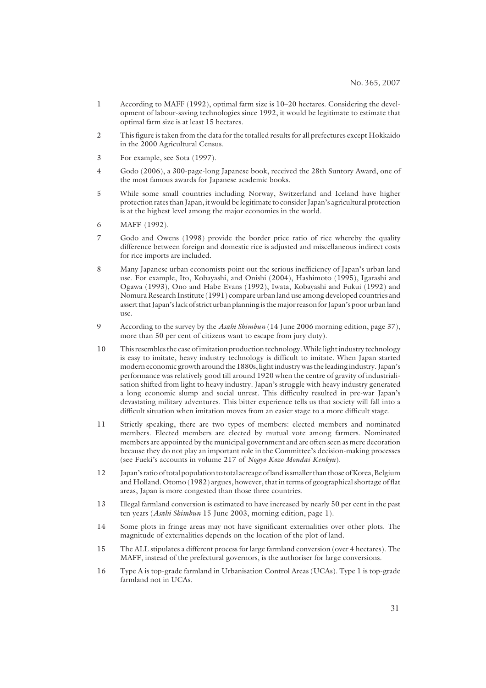- 1 According to MAFF (1992), optimal farm size is 10–20 hectares. Considering the development of labour-saving technologies since 1992, it would be legitimate to estimate that optimal farm size is at least 15 hectares.
- 2 This figure is taken from the data for the totalled results for all prefectures except Hokkaido in the 2000 Agricultural Census.
- 3 For example, see Sota (1997).
- 4 Godo (2006), a 300-page-long Japanese book, received the 28th Suntory Award, one of the most famous awards for Japanese academic books.
- 5 While some small countries including Norway, Switzerland and Iceland have higher protection rates than Japan, it would be legitimate to consider Japan's agricultural protection is at the highest level among the major economies in the world.
- 6 MAFF (1992).
- 7 Godo and Owens (1998) provide the border price ratio of rice whereby the quality difference between foreign and domestic rice is adjusted and miscellaneous indirect costs for rice imports are included.
- 8 Many Japanese urban economists point out the serious inefficiency of Japan's urban land use. For example, Ito, Kobayashi, and Onishi (2004), Hashimoto (1995), Igarashi and Ogawa (1993), Ono and Habe Evans (1992), Iwata, Kobayashi and Fukui (1992) and Nomura Research Institute (1991) compare urban land use among developed countries and assert that Japan's lack of strict urban planning is the major reason for Japan's poor urban land use.
- 9 According to the survey by the *Asahi Shimbun* (14 June 2006 morning edition, page 37), more than 50 per cent of citizens want to escape from jury duty).
- 10 This resembles the case of imitation production technology. While light industry technology is easy to imitate, heavy industry technology is difficult to imitate. When Japan started modern economic growth around the 1880s, light industry was the leading industry. Japan's performance was relatively good till around 1920 when the centre of gravity of industrialisation shifted from light to heavy industry. Japan's struggle with heavy industry generated a long economic slump and social unrest. This difficulty resulted in pre-war Japan's devastating military adventures. This bitter experience tells us that society will fall into a difficult situation when imitation moves from an easier stage to a more difficult stage.
- 11 Strictly speaking, there are two types of members: elected members and nominated members. Elected members are elected by mutual vote among farmers. Nominated members are appointed by the municipal government and are often seen as mere decoration because they do not play an important role in the Committee's decision-making processes (see Fueki's accounts in volume 217 of *Nogyo Kozo Mondai Kenkyu*).
- 12 Japan's ratio of total population to total acreage of land is smaller than those of Korea, Belgium and Holland. Otomo (1982) argues, however, that in terms of geographical shortage of flat areas, Japan is more congested than those three countries.
- 13 Illegal farmland conversion is estimated to have increased by nearly 50 per cent in the past ten years (*Asahi Shimbun* 15 June 2003, morning edition, page 1).
- 14 Some plots in fringe areas may not have significant externalities over other plots. The magnitude of externalities depends on the location of the plot of land.
- 15 The ALL stipulates a different process for large farmland conversion (over 4 hectares). The MAFF, instead of the prefectural governors, is the authoriser for large conversions.
- 16 Type A is top-grade farmland in Urbanisation Control Areas (UCAs). Type 1 is top-grade farmland not in UCAs.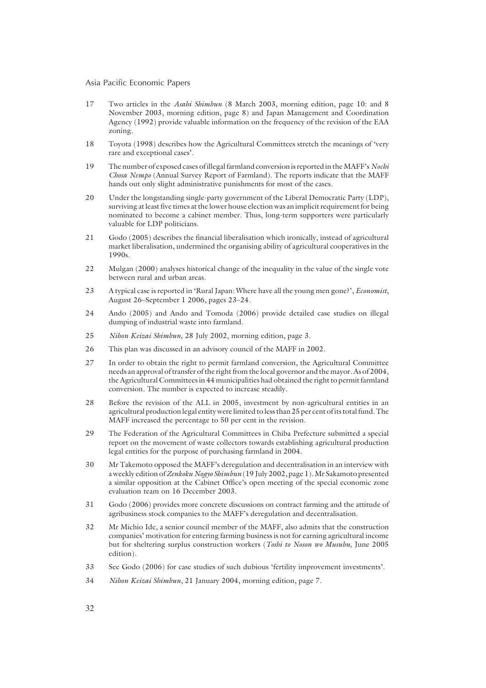- 17 Two articles in the *Asahi Shimbun* (8 March 2003, morning edition, page 10: and 8 November 2003, morning edition, page 8) and Japan Management and Coordination Agency (1992) provide valuable information on the frequency of the revision of the EAA zoning.
- 18 Toyota (1998) describes how the Agricultural Committees stretch the meanings of 'very rare and exceptional cases'.
- 19 The number of exposed cases of illegal farmland conversion is reported in the MAFF's *Nochi Chosa Nempo* (Annual Survey Report of Farmland). The reports indicate that the MAFF hands out only slight administrative punishments for most of the cases.
- 20 Under the longstanding single-party government of the Liberal Democratic Party (LDP), surviving at least five times at the lower house election was an implicit requirement for being nominated to become a cabinet member. Thus, long-term supporters were particularly valuable for LDP politicians.
- 21 Godo (2005) describes the financial liberalisation which ironically, instead of agricultural market liberalisation, undermined the organising ability of agricultural cooperatives in the 1990s.
- 22 Mulgan (2000) analyses historical change of the inequality in the value of the single vote between rural and urban areas.
- 23 A typical case is reported in 'Rural Japan: Where have all the young men gone?', *Economist*, August 26–September 1 2006, pages 23–24.
- 24 Ando (2005) and Ando and Tomoda (2006) provide detailed case studies on illegal dumping of industrial waste into farmland.
- 25 *Nihon Keizai Shimbun,* 28 July 2002, morning edition, page 3.
- 26 This plan was discussed in an advisory council of the MAFF in 2002.
- 27 In order to obtain the right to permit farmland conversion, the Agricultural Committee needs an approval of transfer of the right from the local governor and the mayor. As of 2004, the Agricultural Committees in 44 municipalities had obtained the right to permit farmland conversion. The number is expected to increase steadily.
- 28 Before the revision of the ALL in 2005, investment by non-agricultural entities in an agricultural production legal entity were limited to less than 25 per cent of its total fund. The MAFF increased the percentage to 50 per cent in the revision.
- 29 The Federation of the Agricultural Committees in Chiba Prefecture submitted a special report on the movement of waste collectors towards establishing agricultural production legal entities for the purpose of purchasing farmland in 2004.
- 30 Mr Takemoto opposed the MAFF's deregulation and decentralisation in an interview with a weekly edition of *Zenkoku Nogyo Shimbun* (19 July 2002, page 1). Mr Sakamoto presented a similar opposition at the Cabinet Office's open meeting of the special economic zone evaluation team on 16 December 2003.
- 31 Godo (2006) provides more concrete discussions on contract farming and the attitude of agribusiness stock companies to the MAFF's deregulation and decentralisation.
- 32 Mr Michio Ide, a senior council member of the MAFF, also admits that the construction companies' motivation for entering farming business is not for earning agricultural income but for sheltering surplus construction workers (*Toshi to Noson wo Musubu,* June 2005 edition).
- 33 See Godo (2006) for case studies of such dubious 'fertility improvement investments'.
- 34 *Nihon Keizai Shimbun*, 21 January 2004, morning edition, page 7.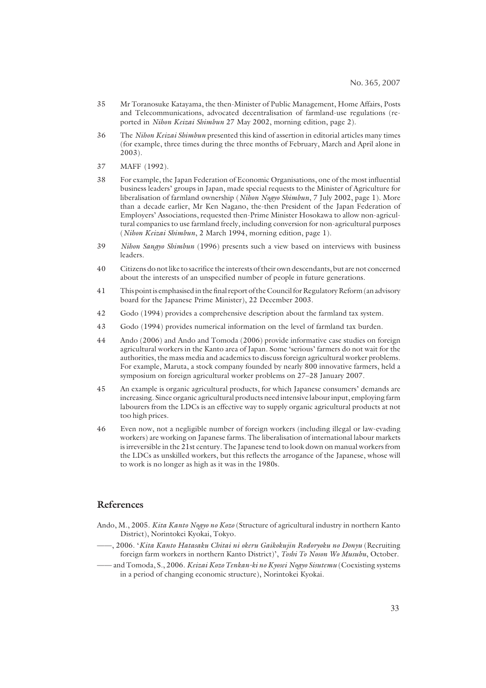- 35 Mr Toranosuke Katayama, the then-Minister of Public Management, Home Affairs, Posts and Telecommunications, advocated decentralisation of farmland-use regulations (reported in *Nihon Keizai Shimbun* 27 May 2002, morning edition, page 2)*.*
- 36 The *Nihon Keizai Shimbun* presented this kind of assertion in editorial articles many times (for example, three times during the three months of February, March and April alone in 2003).
- 37 MAFF (1992).
- 38 For example, the Japan Federation of Economic Organisations, one of the most influential business leaders' groups in Japan, made special requests to the Minister of Agriculture for liberalisation of farmland ownership (*Nihon Nogyo Shimbun*, 7 July 2002, page 1). More than a decade earlier, Mr Ken Nagano, the-then President of the Japan Federation of Employers' Associations, requested then-Prime Minister Hosokawa to allow non-agricultural companies to use farmland freely, including conversion for non-agricultural purposes (*Nihon Keizai Shimbun*, 2 March 1994, morning edition, page 1).
- 39 *Nihon Sangyo Shimbun* (1996) presents such a view based on interviews with business leaders.
- 40 Citizens do not like to sacrifice the interests of their own descendants, but are not concerned about the interests of an unspecified number of people in future generations.
- 41 This point is emphasised in the final report of the Council for Regulatory Reform (an advisory board for the Japanese Prime Minister), 22 December 2003.
- 42 Godo (1994) provides a comprehensive description about the farmland tax system.
- 43 Godo (1994) provides numerical information on the level of farmland tax burden.
- 44 Ando (2006) and Ando and Tomoda (2006) provide informative case studies on foreign agricultural workers in the Kanto area of Japan. Some 'serious' farmers do not wait for the authorities, the mass media and academics to discuss foreign agricultural worker problems. For example, Maruta, a stock company founded by nearly 800 innovative farmers, held a symposium on foreign agricultural worker problems on 27–28 January 2007.
- 45 An example is organic agricultural products, for which Japanese consumers' demands are increasing. Since organic agricultural products need intensive labour input, employing farm labourers from the LDCs is an effective way to supply organic agricultural products at not too high prices.
- 46 Even now, not a negligible number of foreign workers (including illegal or law-evading workers) are working on Japanese farms. The liberalisation of international labour markets is irreversible in the 21st century. The Japanese tend to look down on manual workers from the LDCs as unskilled workers, but this reflects the arrogance of the Japanese, whose will to work is no longer as high as it was in the 1980s.

#### **References**

- Ando, M., 2005. *Kita Kanto Nogyo no Kozo* (Structure of agricultural industry in northern Kanto District), Norintokei Kyokai, Tokyo.
- ——, 2006. '*Kita Kanto Hatasaku Chitai ni okeru Gaikokujin Rodoryoku no Donyu* (Recruiting foreign farm workers in northern Kanto District)', *Toshi To Noson Wo Musubu*, October.
- —— and Tomoda, S., 2006. *Keizai Kozo Tenkan-ki no Kyosei Nogyo Sisutemu* (Coexisting systems in a period of changing economic structure), Norintokei Kyokai.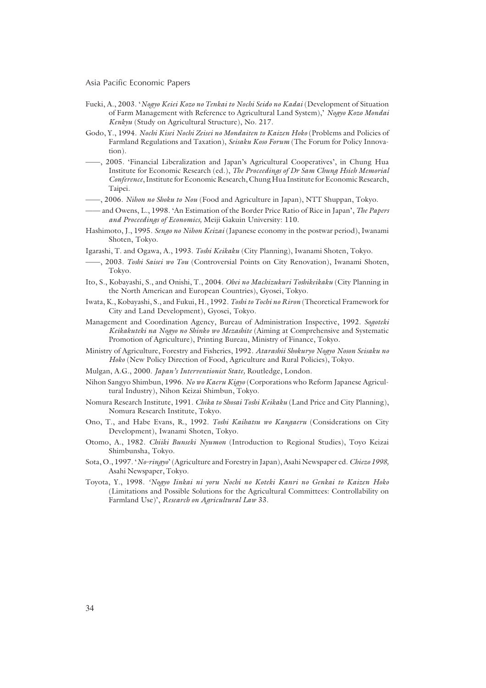- Fueki, A., 2003. '*Nogyo Keiei Kozo no Tenkai to Nochi Seido no Kadai* (Development of Situation of Farm Management with Reference to Agricultural Land System),' *Nogyo Kozo Mondai Kenkyu* (Study on Agricultural Structure), No. 217.
- Godo, Y., 1994. *Nochi Kisei Nochi Zeisei no Mondaiten to Kaizen Hoko* (Problems and Policies of Farmland Regulations and Taxation), *Seisaku Koso Forum* (The Forum for Policy Innovation).
- ——, 2005. 'Financial Liberalization and Japan's Agricultural Cooperatives', in Chung Hua Institute for Economic Research (ed.), *The Proceedings of Dr Sam Chung Hsieh Memorial Conference*, Institute for Economic Research, Chung Hua Institute for Economic Research, Taipei.
- ——, 2006. *Nihon no Shoku to Nou* (Food and Agriculture in Japan), NTT Shuppan, Tokyo.
- —— and Owens, L., 1998. 'An Estimation of the Border Price Ratio of Rice in Japan', *The Papers and Proceedings of Economics,* Meiji Gakuin University: 110.
- Hashimoto, J., 1995. *Sengo no Nihon Keizai* (Japanese economy in the postwar period), Iwanami Shoten, Tokyo.
- Igarashi, T. and Ogawa, A., 1993. *Toshi Keikaku* (City Planning), Iwanami Shoten, Tokyo.
- ——, 2003. *Toshi Saisei wo Tou* (Controversial Points on City Renovation), Iwanami Shoten, Tokyo.
- Ito, S., Kobayashi, S., and Onishi, T., 2004. *Obei no Machizukuri Toshikeikaku* (City Planning in the North American and European Countries), Gyosei, Tokyo.
- Iwata, K., Kobayashi, S., and Fukui, H., 1992. *Toshi to Tochi no Riron* (Theoretical Framework for City and Land Development), Gyosei, Tokyo.
- Management and Coordination Agency, Bureau of Administration Inspective, 1992. *Sogoteki Keikakuteki na Nogyo no Shinko wo Mezashite* (Aiming at Comprehensive and Systematic Promotion of Agriculture), Printing Bureau, Ministry of Finance, Tokyo.
- Ministry of Agriculture, Forestry and Fisheries, 1992. *Atarashii Shokuryo Nogyo Noson Seisaku no Hoko* (New Policy Direction of Food, Agriculture and Rural Policies), Tokyo.
- Mulgan, A.G., 2000. *Japan's Interventionist State,* Routledge, London.
- Nihon Sangyo Shimbun, 1996. *No wo Kaeru Kigyo* (Corporations who Reform Japanese Agricultural Industry), Nihon Keizai Shimbun, Tokyo.
- Nomura Research Institute, 1991. *Chika to Shosai Toshi Keikaku* (Land Price and City Planning), Nomura Research Institute, Tokyo.
- Ono, T., and Habe Evans, R., 1992. *Toshi Kaihatsu wo Kangaeru* (Considerations on City Development), Iwanami Shoten, Tokyo.
- Otomo, A., 1982. *Chiiki Bunseki Nyumon* (Introduction to Regional Studies), Toyo Keizai Shimbunsha, Tokyo.
- Sota, O., 1997. '*No-ringyo*' (Agriculture and Forestry in Japan), Asahi Newspaper ed. *Chiezo 1998,* Asahi Newspaper, Tokyo.
- Toyota, Y., 1998. *'Nogyo Iinkai ni yoru Nochi no Koteki Kanri no Genkai to Kaizen Hoko* (Limitations and Possible Solutions for the Agricultural Committees: Controllability on Farmland Use)', *Research on Agricultural Law* 33.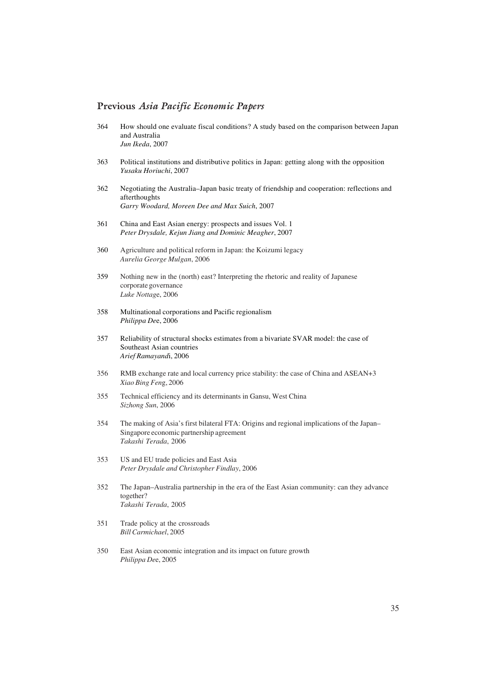#### **Previous** *Asia Pacific Economic Papers*

- 364 How should one evaluate fiscal conditions? A study based on the comparison between Japan and Australia *Jun Ikeda*, 2007
- 363 Political institutions and distributive politics in Japan: getting along with the opposition *Yusaku Horiuchi*, 2007
- 362 Negotiating the Australia–Japan basic treaty of friendship and cooperation: reflections and afterthoughts *Garry Woodard, Moreen Dee and Max Suich*, 2007
- 361 China and East Asian energy: prospects and issues Vol. 1 *Peter Drysdale, Kejun Jiang and Dominic Meagher*, 2007
- 360 Agriculture and political reform in Japan: the Koizumi legacy *Aurelia George Mulgan*, 2006
- 359 Nothing new in the (north) east? Interpreting the rhetoric and reality of Japanese corporate governance *Luke Nottag*e, 2006
- 358 Multinational corporations and Pacific regionalism *Philippa De*e, 2006
- 357 Reliability of structural shocks estimates from a bivariate SVAR model: the case of Southeast Asian countries *Arief Ramayand*i, 2006
- 356 RMB exchange rate and local currency price stability: the case of China and ASEAN+3 *Xiao Bing Fen*g, 2006
- 355 Technical efficiency and its determinants in Gansu, West China *Sizhong Sun*, 2006
- 354 The making of Asia's first bilateral FTA: Origins and regional implications of the Japan– Singapore economic partnership agreement *Takashi Terada*, 2006
- 353 US and EU trade policies and East Asia *Peter Drysdale and Christopher Findlay*, 2006
- 352 The Japan–Australia partnership in the era of the East Asian community: can they advance together? *Takashi Terada*, 2005
- 351 Trade policy at the crossroads *Bill Carmichael*, 2005
- 350 East Asian economic integration and its impact on future growth *Philippa De*e, 2005